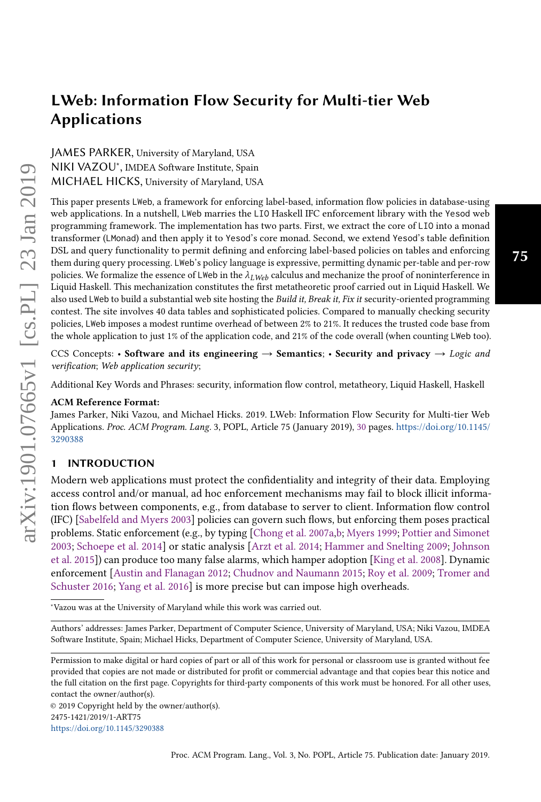JAMES PARKER, University of Maryland, USA NIKI VAZOU<sup>∗</sup> , IMDEA Software Institute, Spain MICHAEL HICKS, University of Maryland, USA

This paper presents LWeb, a framework for enforcing label-based, information flow policies in database-using web applications. In a nutshell, LWeb marries the LIO Haskell IFC enforcement library with the Yesod web programming framework. The implementation has two parts. First, we extract the core of LIO into a monad transformer (LMonad) and then apply it to Yesod's core monad. Second, we extend Yesod's table definition DSL and query functionality to permit defining and enforcing label-based policies on tables and enforcing them during query processing. LWeb's policy language is expressive, permitting dynamic per-table and per-row policies. We formalize the essence of LWeb in the  $\lambda_{LWeb}$  calculus and mechanize the proof of noninterference in Liquid Haskell. This mechanization constitutes the first metatheoretic proof carried out in Liquid Haskell. We also used LWeb to build a substantial web site hosting the Build it, Break it, Fix it security-oriented programming contest. The site involves 40 data tables and sophisticated policies. Compared to manually checking security policies, LWeb imposes a modest runtime overhead of between 2% to 21%. It reduces the trusted code base from the whole application to just 1% of the application code, and 21% of the code overall (when counting LWeb too).

75

CCS Concepts: • Software and its engineering  $\rightarrow$  Semantics; • Security and privacy  $\rightarrow$  Logic and verification; Web application security;

Additional Key Words and Phrases: security, information flow control, metatheory, Liquid Haskell, Haskell

#### ACM Reference Format:

James Parker, Niki Vazou, and Michael Hicks. 2019. LWeb: Information Flow Security for Multi-tier Web Applications. Proc. ACM Program. Lang. 3, POPL, Article 75 (January 2019), [30](#page-29-0) pages. [https://doi.org/10.1145/](https://doi.org/10.1145/3290388) [3290388](https://doi.org/10.1145/3290388)

# 1 INTRODUCTION

Modern web applications must protect the confidentiality and integrity of their data. Employing access control and/or manual, ad hoc enforcement mechanisms may fail to block illicit information flows between components, e.g., from database to server to client. Information flow control (IFC) [\[Sabelfeld and Myers](#page-29-1) [2003\]](#page-29-1) policies can govern such flows, but enforcing them poses practical problems. Static enforcement (e.g., by typing [\[Chong et al.](#page-28-0) [2007a](#page-28-0)[,b;](#page-28-1) [Myers](#page-28-2) [1999;](#page-28-2) [Pottier and Simonet](#page-28-3) [2003;](#page-28-3) [Schoepe et al.](#page-29-2) [2014\]](#page-29-2) or static analysis [\[Arzt et al.](#page-28-4) [2014;](#page-28-4) [Hammer and Snelting](#page-28-5) [2009;](#page-28-5) [Johnson](#page-28-6) [et al.](#page-28-6) [2015\]](#page-28-6)) can produce too many false alarms, which hamper adoption [\[King et al.](#page-28-7) [2008\]](#page-28-7). Dynamic enforcement [\[Austin and Flanagan](#page-28-8) [2012;](#page-28-8) [Chudnov and Naumann](#page-28-9) [2015;](#page-28-9) [Roy et al.](#page-29-3) [2009;](#page-29-3) [Tromer and](#page-29-4) [Schuster](#page-29-4) [2016;](#page-29-4) [Yang et al.](#page-29-5) [2016\]](#page-29-5) is more precise but can impose high overheads.

<sup>∗</sup>Vazou was at the University of Maryland while this work was carried out.

Authors' addresses: James Parker, Department of Computer Science, University of Maryland, USA; Niki Vazou, IMDEA Software Institute, Spain; Michael Hicks, Department of Computer Science, University of Maryland, USA.

Permission to make digital or hard copies of part or all of this work for personal or classroom use is granted without fee provided that copies are not made or distributed for profit or commercial advantage and that copies bear this notice and the full citation on the first page. Copyrights for third-party components of this work must be honored. For all other uses, contact the owner/author(s).

© 2019 Copyright held by the owner/author(s). 2475-1421/2019/1-ART75 <https://doi.org/10.1145/3290388>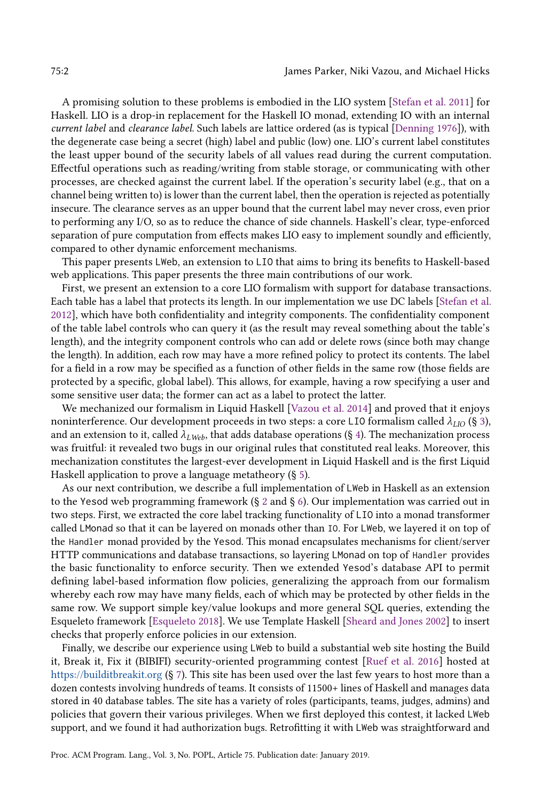A promising solution to these problems is embodied in the LIO system [\[Stefan et al.](#page-29-6) [2011\]](#page-29-6) for Haskell. LIO is a drop-in replacement for the Haskell IO monad, extending IO with an internal current label and clearance label. Such labels are lattice ordered (as is typical [\[Denning](#page-28-10) [1976\]](#page-28-10)), with the degenerate case being a secret (high) label and public (low) one. LIO's current label constitutes the least upper bound of the security labels of all values read during the current computation. Effectful operations such as reading/writing from stable storage, or communicating with other processes, are checked against the current label. If the operation's security label (e.g., that on a channel being written to) is lower than the current label, then the operation is rejected as potentially insecure. The clearance serves as an upper bound that the current label may never cross, even prior to performing any I/O, so as to reduce the chance of side channels. Haskell's clear, type-enforced separation of pure computation from effects makes LIO easy to implement soundly and efficiently, compared to other dynamic enforcement mechanisms.

This paper presents LWeb, an extension to LIO that aims to bring its benefits to Haskell-based web applications. This paper presents the three main contributions of our work.

First, we present an extension to a core LIO formalism with support for database transactions. Each table has a label that protects its length. In our implementation we use DC labels [\[Stefan et al.](#page-29-7) [2012\]](#page-29-7), which have both confidentiality and integrity components. The confidentiality component of the table label controls who can query it (as the result may reveal something about the table's length), and the integrity component controls who can add or delete rows (since both may change the length). In addition, each row may have a more refined policy to protect its contents. The label for a field in a row may be specified as a function of other fields in the same row (those fields are protected by a specific, global label). This allows, for example, having a row specifying a user and some sensitive user data; the former can act as a label to protect the latter.

We mechanized our formalism in Liquid Haskell [\[Vazou et al.](#page-29-8) [2014\]](#page-29-8) and proved that it enjoys noninterference. Our development proceeds in two steps: a core LIO formalism called  $\lambda_{LIO}$  (§ [3\)](#page-6-0), and an extension to it, called  $\lambda_{LWeb}$ , that adds database operations (§ [4\)](#page-11-0). The mechanization process was fruitful: it revealed two bugs in our original rules that constituted real leaks. Moreover, this mechanization constitutes the largest-ever development in Liquid Haskell and is the first Liquid Haskell application to prove a language metatheory (§ [5\)](#page-17-0).

As our next contribution, we describe a full implementation of LWeb in Haskell as an extension to the Yesod web programming framework (§ [2](#page-2-0) and § [6\)](#page-19-0). Our implementation was carried out in two steps. First, we extracted the core label tracking functionality of LIO into a monad transformer called LMonad so that it can be layered on monads other than IO. For LWeb, we layered it on top of the Handler monad provided by the Yesod. This monad encapsulates mechanisms for client/server HTTP communications and database transactions, so layering LMonad on top of Handler provides the basic functionality to enforce security. Then we extended Yesod's database API to permit defining label-based information flow policies, generalizing the approach from our formalism whereby each row may have many fields, each of which may be protected by other fields in the same row. We support simple key/value lookups and more general SQL queries, extending the Esqueleto framework [\[Esqueleto](#page-28-11) [2018\]](#page-28-11). We use Template Haskell [\[Sheard and Jones](#page-29-9) [2002\]](#page-29-9) to insert checks that properly enforce policies in our extension.

Finally, we describe our experience using LWeb to build a substantial web site hosting the Build it, Break it, Fix it (BIBIFI) security-oriented programming contest [\[Ruef et al.](#page-29-10) [2016\]](#page-29-10) hosted at <https://builditbreakit.org> (§ [7\)](#page-21-0). This site has been used over the last few years to host more than a dozen contests involving hundreds of teams. It consists of 11500+ lines of Haskell and manages data stored in 40 database tables. The site has a variety of roles (participants, teams, judges, admins) and policies that govern their various privileges. When we first deployed this contest, it lacked LWeb support, and we found it had authorization bugs. Retrofitting it with LWeb was straightforward and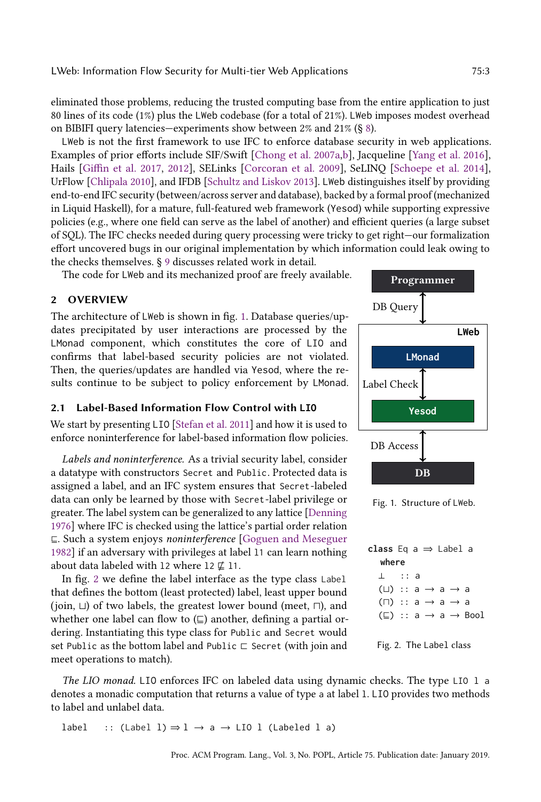eliminated those problems, reducing the trusted computing base from the entire application to just 80 lines of its code (1%) plus the LWeb codebase (for a total of 21%). LWeb imposes modest overhead on BIBIFI query latencies—experiments show between 2% and 21% (§ [8\)](#page-24-0).

LWeb is not the first framework to use IFC to enforce database security in web applications. Examples of prior efforts include SIF/Swift [\[Chong et al.](#page-28-0) [2007a,](#page-28-0)[b\]](#page-28-1), Jacqueline [\[Yang et al.](#page-29-5) [2016\]](#page-29-5), Hails [\[Giffin et al.](#page-28-12) [2017,](#page-28-12) [2012\]](#page-28-13), SELinks [\[Corcoran et al.](#page-28-14) [2009\]](#page-28-14), SeLINQ [\[Schoepe et al.](#page-29-2) [2014\]](#page-29-2), UrFlow [\[Chlipala](#page-28-15) [2010\]](#page-28-15), and IFDB [\[Schultz and Liskov](#page-29-11) [2013\]](#page-29-11). LWeb distinguishes itself by providing end-to-end IFC security (between/across server and database), backed by a formal proof (mechanized in Liquid Haskell), for a mature, full-featured web framework (Yesod) while supporting expressive policies (e.g., where one field can serve as the label of another) and efficient queries (a large subset of SQL). The IFC checks needed during query processing were tricky to get right—our formalization effort uncovered bugs in our original implementation by which information could leak owing to the checks themselves. § [9](#page-25-0) discusses related work in detail.

The code for LWeb and its mechanized proof are freely available.

## <span id="page-2-0"></span>2 OVERVIEW

The architecture of LWeb is shown in fig. [1.](#page-2-1) Database queries/updates precipitated by user interactions are processed by the LMonad component, which constitutes the core of LIO and confirms that label-based security policies are not violated. Then, the queries/updates are handled via Yesod, where the results continue to be subject to policy enforcement by LMonad.

## <span id="page-2-3"></span>2.1 Label-Based Information Flow Control with **LIO**

We start by presenting LIO [\[Stefan et al.](#page-29-6) [2011\]](#page-29-6) and how it is used to enforce noninterference for label-based information flow policies.

Labels and noninterference. As a trivial security label, consider a datatype with constructors Secret and Public. Protected data is assigned a label, and an IFC system ensures that Secret-labeled data can only be learned by those with Secret-label privilege or greater. The label system can be generalized to any lattice [\[Denning](#page-28-10) [1976\]](#page-28-10) where IFC is checked using the lattice's partial order relation ⊑. Such a system enjoys noninterference [\[Goguen and Meseguer](#page-28-16) [1982\]](#page-28-16) if an adversary with privileges at label l1 can learn nothing about data labeled with 12 where 12  $\not\sqsubseteq$  11.

In fig. [2](#page-2-2) we define the label interface as the type class Label that defines the bottom (least protected) label, least upper bound (join, ⊔) of two labels, the greatest lower bound (meet, ⊓), and whether one label can flow to  $(\sqsubseteq)$  another, defining a partial ordering. Instantiating this type class for Public and Secret would set Public as the bottom label and Public ⊏ Secret (with join and meet operations to match).

<span id="page-2-1"></span>Programmer **LWeb LMonad Yesod** DB DB Query Label Check DB Access

Fig. 1. Structure of LWeb.

<span id="page-2-2"></span>

| <b>class</b> Eq a ⇒ Label a |  |  |                                                         |
|-----------------------------|--|--|---------------------------------------------------------|
| where                       |  |  |                                                         |
| ⊥ ::а                       |  |  |                                                         |
| (⊔) :: a → a → a            |  |  |                                                         |
| (⊓) :: a → a → a            |  |  |                                                         |
|                             |  |  | $(\sqsubseteq)$ :: a $\rightarrow$ a $\rightarrow$ Bool |
|                             |  |  |                                                         |



The LIO monad. LIO enforces IFC on labeled data using dynamic checks. The type LIO 1 a denotes a monadic computation that returns a value of type a at label l. LIO provides two methods to label and unlabel data.

label :: (Label l)  $\Rightarrow$  l  $\rightarrow$  a  $\rightarrow$  LIO l (Labeled l a)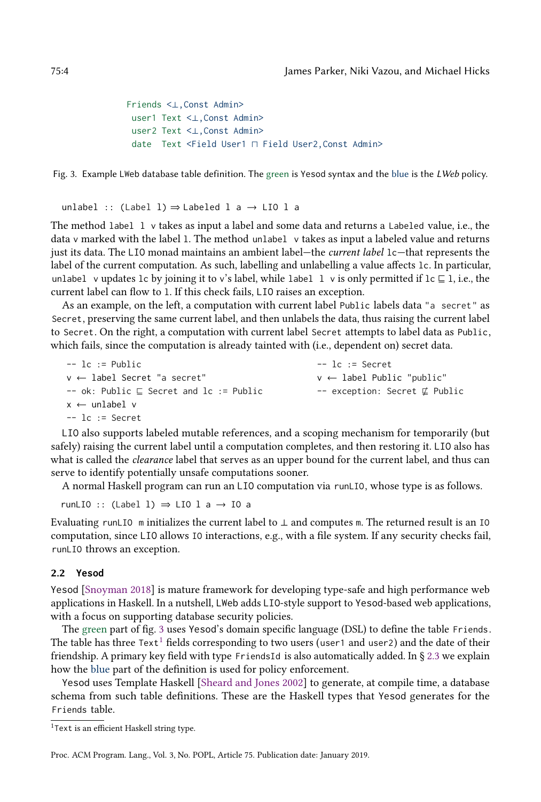```
Friends <⊥,Const Admin>
 user1 Text <⊥,Const Admin>
 user2 Text <⊥,Const Admin>
 date Text <Field User1 ⊓ Field User2,Const Admin>
```
Fig. 3. Example LWeb database table definition. The green is Yesod syntax and the blue is the LWeb policy.

```
unlabel :: (Label l) ⇒ Labeled l a \rightarrow LIO l a
```
The method label l v takes as input a label and some data and returns a Labeled value, i.e., the data v marked with the label l. The method unlabel v takes as input a labeled value and returns just its data. The LIO monad maintains an ambient label—the *current label* 1c—that represents the label of the current computation. As such, labelling and unlabelling a value affects lc. In particular, unlabel v updates 1c by joining it to v's label, while label 1 v is only permitted if  $lc \sqsubseteq l$ , i.e., the current label can flow to l. If this check fails, LIO raises an exception.

As an example, on the left, a computation with current label Public labels data "a secret" as Secret, preserving the same current label, and then unlabels the data, thus raising the current label to Secret. On the right, a computation with current label Secret attempts to label data as Public, which fails, since the computation is already tainted with (i.e., dependent on) secret data.

| $--$ lc $:=$ Public                                  | $- lc$ $:=$ Secret                   |
|------------------------------------------------------|--------------------------------------|
| $v \leftarrow$ label Secret "a secret"               | $v \leftarrow$ label Public "public" |
| $-$ ok: Public $\sqsubseteq$ Secret and lc := Public | -- exception: Secret ⊈ Public        |
| $x \leftarrow$ unlabel v                             |                                      |
| $- 1c :=$ Secret                                     |                                      |

LIO also supports labeled mutable references, and a scoping mechanism for temporarily (but safely) raising the current label until a computation completes, and then restoring it. LIO also has what is called the *clearance* label that serves as an upper bound for the current label, and thus can serve to identify potentially unsafe computations sooner.

A normal Haskell program can run an LIO computation via runLIO, whose type is as follows.

runLIO :: (Label 1)  $\Rightarrow$  LIO 1 a  $\rightarrow$  IO a

Evaluating runLIO m initializes the current label to ⊥ and computes m. The returned result is an IO computation, since LIO allows IO interactions, e.g., with a file system. If any security checks fail, runLIO throws an exception.

#### <span id="page-3-2"></span>2.2 **Yesod**

Yesod [\[Snoyman](#page-29-12) [2018\]](#page-29-12) is mature framework for developing type-safe and high performance web applications in Haskell. In a nutshell, LWeb adds LIO-style support to Yesod-based web applications, with a focus on supporting database security policies.

The green part of fig. [3](#page-3-0) uses Yesod's domain specific language (DSL) to define the table Friends. The table has three Text<sup>[1](#page-3-1)</sup> fields corresponding to two users (user1 and user2) and the date of their friendship. A primary key field with type FriendsId is also automatically added. In § [2.3](#page-4-0) we explain how the blue part of the definition is used for policy enforcement.

Yesod uses Template Haskell [\[Sheard and Jones](#page-29-9) [2002\]](#page-29-9) to generate, at compile time, a database schema from such table definitions. These are the Haskell types that Yesod generates for the Friends table.

<span id="page-3-1"></span><sup>&</sup>lt;sup>1</sup>Text is an efficient Haskell string type.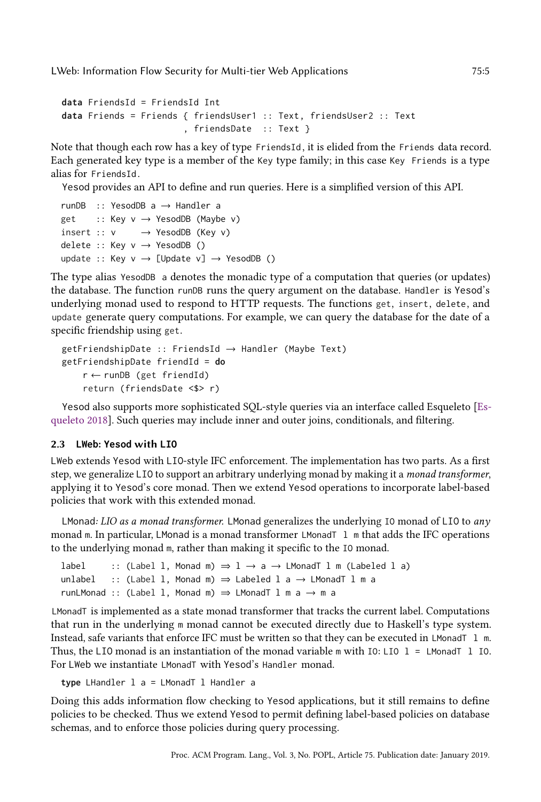```
data FriendsId = FriendsId Int
data Friends = Friends { friendsUser1 :: Text, friendsUser2 :: Text
                       , friendsDate :: Text }
```
Note that though each row has a key of type FriendsId , it is elided from the Friends data record. Each generated key type is a member of the Key type family; in this case Key Friends is a type alias for FriendsId .

Yesod provides an API to define and run queries. Here is a simplified version of this API.

```
runDB :: YesodDB a → Handler a
get :: Key v → YesodDB (Maybe v)
insert :: v \rightarrow YesodDB (Key v)delete :: Key v \rightarrow YesodDB ()
update :: Key v \rightarrow [Update v] \rightarrow YesodDB ()
```
The type alias YesodDB a denotes the monadic type of a computation that queries (or updates) the database. The function runDB runs the query argument on the database. Handler is Yesod's underlying monad used to respond to HTTP requests. The functions get, insert, delete, and update generate query computations. For example, we can query the database for the date of a specific friendship using get.

```
getFriendshipDate :: FriendsId → Handler (Maybe Text)
getFriendshipDate friendId = do
    r ← runDB (get friendId)
    return (friendsDate <$> r)
```
Yesod also supports more sophisticated SQL-style queries via an interface called Esqueleto [\[Es](#page-28-11)[queleto](#page-28-11) [2018\]](#page-28-11). Such queries may include inner and outer joins, conditionals, and filtering.

# <span id="page-4-0"></span>2.3 **LWeb**: **Yesod** with **LIO**

LWeb extends Yesod with LIO-style IFC enforcement. The implementation has two parts. As a first step, we generalize LIO to support an arbitrary underlying monad by making it a monad transformer, applying it to Yesod's core monad. Then we extend Yesod operations to incorporate label-based policies that work with this extended monad.

LMonad: LIO as a monad transformer. LMonad generalizes the underlying 10 monad of LIO to any monad m. In particular, LMonad is a monad transformer LMonadT 1 m that adds the IFC operations to the underlying monad m, rather than making it specific to the IO monad.

```
label :: (Label 1, Monad m) \Rightarrow 1 \rightarrow a \rightarrow LMonadT 1 m (Labeled 1 a)
unlabel :: (Label 1, Monad m) \Rightarrow Labeled 1 a \rightarrow LMonadT 1 m a
runLMonad :: (Label 1, Monad m) \Rightarrow LMonadT 1 m a \rightarrow m a
```
LMonadT is implemented as a state monad transformer that tracks the current label. Computations that run in the underlying m monad cannot be executed directly due to Haskell's type system. Instead, safe variants that enforce IFC must be written so that they can be executed in LMonadT 1 m. Thus, the LIO monad is an instantiation of the monad variable m with  $10: L10 \text{ } l = \text{LMonad} \text{T} \text{ } l$  IO. For LWeb we instantiate LMonadT with Yesod's Handler monad.

**type** LHandler l a = LMonadT l Handler a

Doing this adds information flow checking to Yesod applications, but it still remains to define policies to be checked. Thus we extend Yesod to permit defining label-based policies on database schemas, and to enforce those policies during query processing.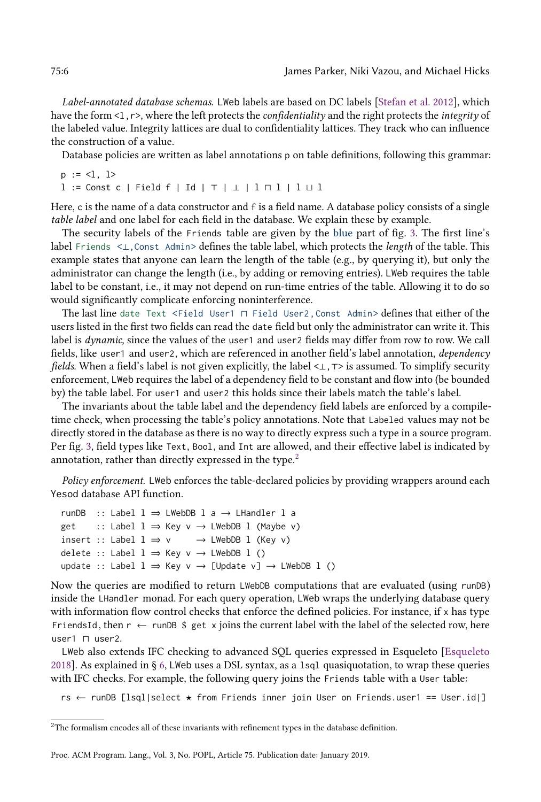Label-annotated database schemas. LWeb labels are based on DC labels [\[Stefan et al.](#page-29-7) [2012\]](#page-29-7), which have the form <1, r>, where the left protects the *confidentiality* and the right protects the *integrity* of the labeled value. Integrity lattices are dual to confidentiality lattices. They track who can influence the construction of a value.

Database policies are written as label annotations p on table definitions, following this grammar:

```
p := <1, 1>l := Const c | Field f | Id | ⊤ | ⊥ | l ⊓ l | l ⊔ l
```
Here, c is the name of a data constructor and f is a field name. A database policy consists of a single table label and one label for each field in the database. We explain these by example.

The security labels of the Friends table are given by the blue part of fig. [3.](#page-3-0) The first line's label Friends <⊥,Const Admin> defines the table label, which protects the length of the table. This example states that anyone can learn the length of the table (e.g., by querying it), but only the administrator can change the length (i.e., by adding or removing entries). LWeb requires the table label to be constant, i.e., it may not depend on run-time entries of the table. Allowing it to do so would significantly complicate enforcing noninterference.

The last line date Text <Field User1 ⊓ Field User2,Const Admin> defines that either of the users listed in the first two fields can read the date field but only the administrator can write it. This label is *dynamic*, since the values of the user1 and user2 fields may differ from row to row. We call fields, like user1 and user2, which are referenced in another field's label annotation, dependency fields. When a field's label is not given explicitly, the label <⊥,⊤> is assumed. To simplify security enforcement, LWeb requires the label of a dependency field to be constant and flow into (be bounded by) the table label. For user1 and user2 this holds since their labels match the table's label.

The invariants about the table label and the dependency field labels are enforced by a compiletime check, when processing the table's policy annotations. Note that Labeled values may not be directly stored in the database as there is no way to directly express such a type in a source program. Per fig. [3,](#page-3-0) field types like Text, Bool, and Int are allowed, and their effective label is indicated by annotation, rather than directly expressed in the type.<sup>[2](#page-5-0)</sup>

Policy enforcement. LWeb enforces the table-declared policies by providing wrappers around each Yesod database API function.

|  |  |  |  | runDB :: Label $l \Rightarrow$ LWebDB $l a \rightarrow$ LHandler 1 a                        |
|--|--|--|--|---------------------------------------------------------------------------------------------|
|  |  |  |  | get :: Label $1 \Rightarrow$ Key $v \rightarrow$ LWebDB 1 (Maybe v)                         |
|  |  |  |  | insert :: Label $1 \Rightarrow v \rightarrow L$ WebDB 1 (Key v)                             |
|  |  |  |  | delete :: Label $1 \Rightarrow$ Key $v \rightarrow$ LWebDB 1 ()                             |
|  |  |  |  | update :: Label $1 \Rightarrow$ Key $v \rightarrow$ [Update $v$ ] $\rightarrow$ LWebDB 1 () |

Now the queries are modified to return LWebDB computations that are evaluated (using runDB) inside the LHandler monad. For each query operation, LWeb wraps the underlying database query with information flow control checks that enforce the defined policies. For instance, if x has type FriendsId, then  $r \leftarrow$  runDB \$ get x joins the current label with the label of the selected row, here user1 ⊓ user2.

LWeb also extends IFC checking to advanced SQL queries expressed in Esqueleto [\[Esqueleto](#page-28-11) [2018\]](#page-28-11). As explained in § [6,](#page-19-0) LWeb uses a DSL syntax, as a lsql quasiquotation, to wrap these queries with IFC checks. For example, the following query joins the Friends table with a User table:

rs ← runDB [lsql|select ★ from Friends inner join User on Friends.user1 == User.id|]

<span id="page-5-0"></span> $^2\!$  The formalism encodes all of these invariants with refinement types in the database definition.

Proc. ACM Program. Lang., Vol. 3, No. POPL, Article 75. Publication date: January 2019.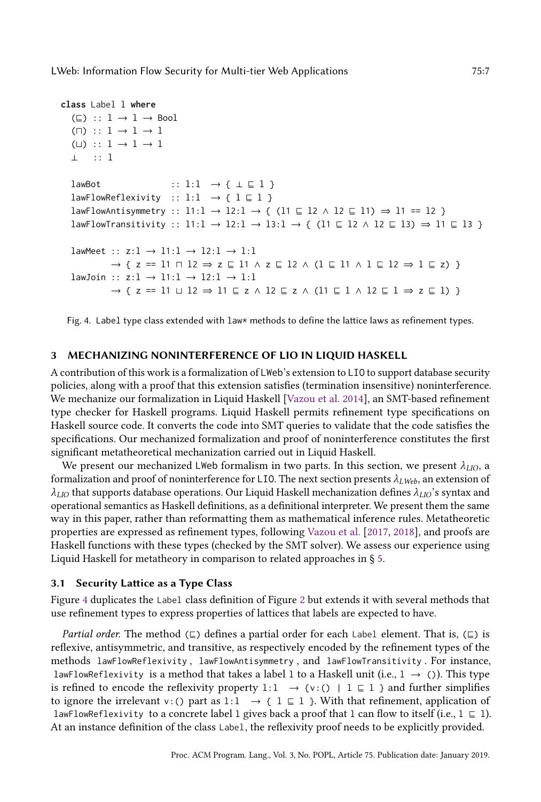```
class Label l where
   (\sqsubseteq) :: 1 \rightarrow 1 \rightarrow Bool
   (\sqcap) :: l \rightarrow l \rightarrow l(\sqcup) :: l \rightarrow l \rightarrow l⊥ :: l
  lawBot :: l:l \rightarrow { \perp \sqsubseteq l }
  lawFlowReflexivity :: l:l \rightarrow { l \sqsubseteq l }
  lawFlowAntisymmetry :: 11:1 → 12:1 → { (11 \sqsubseteq 12 \wedge 12 \sqsubseteq 11) ⇒ 11 == 12 }
   lawFlowTransitivity :: 11:1 \rightarrow 12:1 \rightarrow 13:1 \rightarrow \{ (11 \sqsubseteq 12 \wedge 12 \sqsubseteq 13) \Rightarrow 11 \sqsubseteq 13 \}lawMeet :: z:1 \rightarrow 11:1 \rightarrow 12:1 \rightarrow 1:1→ { z == l1 ⊓ l2 ⇒ z ⊑ l1 ∧ z ⊑ l2 ∧ (l ⊑ l1 ∧ l ⊑ l2 ⇒ l ⊑ z) }
  lawJoin :: z:l \rightarrow l1:l \rightarrow l2:l \rightarrow l:l
              → { z == l1 ⊔ l2 ⇒ l1 ⊑ z ∧ l2 ⊑ z ∧ (l1 ⊑ l ∧ l2 ⊑ l ⇒ z ⊑ l) }
```
Fig. 4. Label type class extended with law\* methods to define the lattice laws as refinement types.

## <span id="page-6-0"></span>3 MECHANIZING NONINTERFERENCE OF LIO IN LIQUID HASKELL

A contribution of this work is a formalization of LWeb's extension to LIO to support database security policies, along with a proof that this extension satisfies (termination insensitive) noninterference. We mechanize our formalization in Liquid Haskell [\[Vazou et al.](#page-29-8) [2014\]](#page-29-8), an SMT-based refinement type checker for Haskell programs. Liquid Haskell permits refinement type specifications on Haskell source code. It converts the code into SMT queries to validate that the code satisfies the specifications. Our mechanized formalization and proof of noninterference constitutes the first significant metatheoretical mechanization carried out in Liquid Haskell.

We present our mechanized LWeb formalism in two parts. In this section, we present  $\lambda_{LIO}$ , a formalization and proof of noninterference for LIO. The next section presents  $\lambda_{LWeb}$ , an extension of  $\lambda_{LIO}$  that supports database operations. Our Liquid Haskell mechanization defines  $\lambda_{LIO}$ 's syntax and operational semantics as Haskell definitions, as a definitional interpreter. We present them the same way in this paper, rather than reformatting them as mathematical inference rules. Metatheoretic properties are expressed as refinement types, following [Vazou et al.](#page-29-13) [\[2017,](#page-29-13) [2018\]](#page-29-14), and proofs are Haskell functions with these types (checked by the SMT solver). We assess our experience using Liquid Haskell for metatheory in comparison to related approaches in § [5.](#page-17-0)

## <span id="page-6-2"></span>3.1 Security Lattice as a Type Class

Figure [4](#page-6-1) duplicates the Label class definition of Figure [2](#page-2-2) but extends it with several methods that use refinement types to express properties of lattices that labels are expected to have.

Partial order. The method ( $\subseteq$ ) defines a partial order for each Label element. That is, ( $\subseteq$ ) is reflexive, antisymmetric, and transitive, as respectively encoded by the refinement types of the methods lawFlowReflexivity , lawFlowAntisymmetry , and lawFlowTransitivity . For instance, lawFlowReflexivity is a method that takes a label 1 to a Haskell unit (i.e.,  $1 \rightarrow$  ()). This type is refined to encode the reflexivity property 1:1  $\rightarrow$  {v:() | 1  $\subseteq$  1 } and further simplifies to ignore the irrelevant v:() part as 1:1  $\rightarrow$  { 1  $\sqsubseteq$  1 }. With that refinement, application of lawFlowReflexivity to a concrete label 1 gives back a proof that 1 can flow to itself (i.e.,  $1 \subseteq 1$ ). At an instance definition of the class Label, the reflexivity proof needs to be explicitly provided.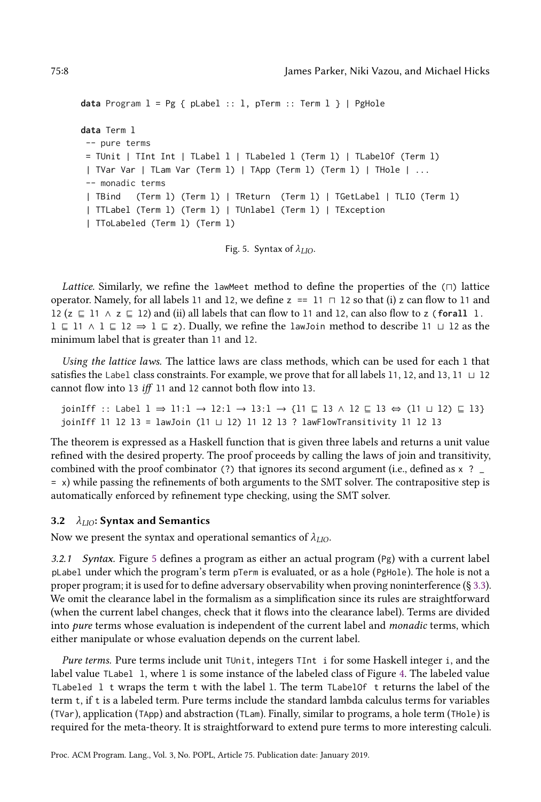```
data Program l = Pg { pLabel :: l, pTerm :: Term l } | PgHole
data Term l
 -- pure terms
 = TUnit | TInt Int | TLabel l | TLabeled l (Term l) | TLabelOf (Term l)
 | TVar Var | TLam Var (Term l) | TApp (Term l) (Term l) | THole | ...
 -- monadic terms
 | TBind (Term l) (Term l) | TReturn (Term l) | TGetLabel | TLIO (Term l)
 | TTLabel (Term l) (Term l) | TUnlabel (Term l) | TException
 | TToLabeled (Term l) (Term l)
```
Fig. 5. Syntax of  $\lambda_{LIO}$ .

Lattice. Similarly, we refine the lawMeet method to define the properties of the (⊓) lattice operator. Namely, for all labels 11 and 12, we define  $z = 11$   $\Box$  12 so that (i) z can flow to 11 and l2 (z ⊑ l1 ∧ z ⊑ l2) and (ii) all labels that can flow to l1 and l2, can also flow to z (**forall** l. l ⊑ l1 ∧ l ⊑ l2 ⇒ l ⊑ z). Dually, we refine the lawJoin method to describe l1 ⊔ l2 as the minimum label that is greater than l1 and l2.

Using the lattice laws. The lattice laws are class methods, which can be used for each l that satisfies the Label class constraints. For example, we prove that for all labels l1, l2, and l3, l1 ⊔ l2 cannot flow into l3 iff l1 and l2 cannot both flow into l3.

joinIff :: Label l ⇒ l1:l → l2:l → l3:l → {l1 ⊑ l3 ∧ l2 ⊑ l3 ⇔ (l1 ⊔ l2) ⊑ l3} joinIff l1 l2 l3 = lawJoin (l1 ⊔ l2) l1 l2 l3 ? lawFlowTransitivity l1 l2 l3

The theorem is expressed as a Haskell function that is given three labels and returns a unit value refined with the desired property. The proof proceeds by calling the laws of join and transitivity, combined with the proof combinator (?) that ignores its second argument (i.e., defined as  $\times$  ?  $\_$ = x) while passing the refinements of both arguments to the SMT solver. The contrapositive step is automatically enforced by refinement type checking, using the SMT solver.

## 3.2  $\lambda_{LIO}$ : Syntax and Semantics

Now we present the syntax and operational semantics of  $\lambda_{\text{LO}}$ .

3.2.1 Syntax. Figure [5](#page-7-0) defines a program as either an actual program (Pg) with a current label pLabel under which the program's term pTerm is evaluated, or as a hole (PgHole). The hole is not a proper program; it is used for to define adversary observability when proving noninterference (§ [3.3\)](#page-9-0). We omit the clearance label in the formalism as a simplification since its rules are straightforward (when the current label changes, check that it flows into the clearance label). Terms are divided into *pure* terms whose evaluation is independent of the current label and *monadic* terms, which either manipulate or whose evaluation depends on the current label.

Pure terms. Pure terms include unit TUnit, integers TInt i for some Haskell integer i, and the label value TLabel l, where l is some instance of the labeled class of Figure [4.](#page-6-1) The labeled value TLabeled l t wraps the term t with the label l. The term TLabelOf t returns the label of the term t, if t is a labeled term. Pure terms include the standard lambda calculus terms for variables (TVar), application (TApp) and abstraction (TLam). Finally, similar to programs, a hole term (THole) is required for the meta-theory. It is straightforward to extend pure terms to more interesting calculi.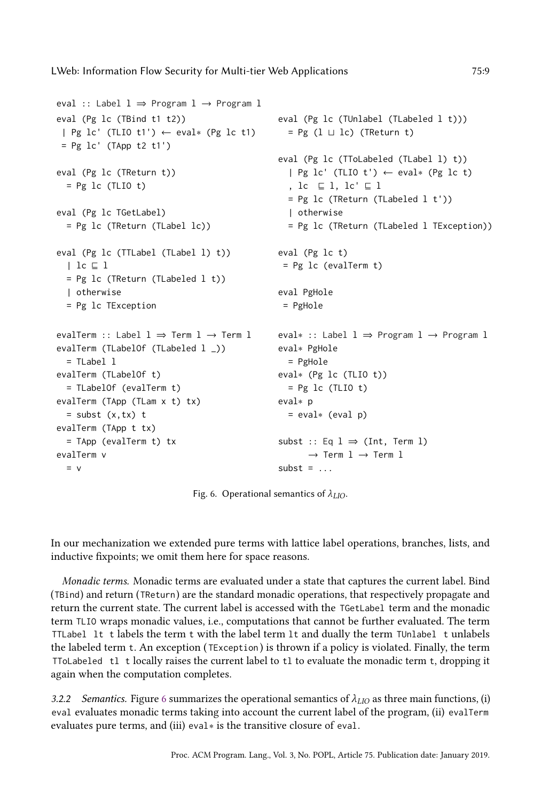```
eval :: Label l \Rightarrow Program l \rightarrow Program leval (Pg lc (TBind t1 t2))
 | Pg lc' (TLIO t1') ← eval∗ (Pg lc t1)
 = Pg lc' (TApp t2 t1')
eval (Pg lc (TReturn t))
  = Pg lc (TLIO t)
eval (Pg lc TGetLabel)
  = Pg lc (TReturn (TLabel lc))
eval (Pg lc (TTLabel (TLabel l) t))
  | lc ⊑ l
  = Pg lc (TReturn (TLabeled l t))
  | otherwise
 = Pg lc TException
                                               eval (Pg lc (TUnlabel (TLabeled l t)))
                                                = Pg (l ⊔ lc) (TReturn t)
                                              eval (Pg lc (TToLabeled (TLabel l) t))
                                                 | Pg lc' (TLIO t') ← eval∗ (Pg lc t)
                                                 , lc ⊑ l, lc' ⊑ l
                                                = Pg lc (TReturn (TLabeled l t'))
                                                | otherwise
                                                = Pg lc (TReturn (TLabeled l TException))
                                             eval (Pg lc t)
                                               = Pg lc (evalTerm t)
                                              eval PgHole
                                               = PgHole
evalTerm :: Label l \Rightarrow Term l \rightarrow Term levalTerm (TLabelOf (TLabeled l _))
  = TLabel 1evalTerm (TLabelOf t)
  = TLabelOf (evalTerm t)
evalTerm (TApp (TLam x t) tx)
  = subst (x,tx) t
evalTerm (TApp t tx)
  = TApp (evalTerm t) tx
evalTerm v
 = veval∗ :: Label l ⇒ Program l → Program l
                                              eval∗ PgHole
                                                = PgHole
                                              eval∗ (Pg lc (TLIO t))
                                                = Pg lc (TLIO t)
                                              eval∗ p
                                                = eval∗ (eval p)
                                              subst :: Eq l \Rightarrow (Int, Term 1)
                                                     \rightarrow Term 1 \rightarrow Term 1subst = \dots
```
Fig. 6. Operational semantics of  $\lambda_{LIO}$ .

In our mechanization we extended pure terms with lattice label operations, branches, lists, and inductive fixpoints; we omit them here for space reasons.

Monadic terms. Monadic terms are evaluated under a state that captures the current label. Bind (TBind) and return (TReturn) are the standard monadic operations, that respectively propagate and return the current state. The current label is accessed with the TGetLabel term and the monadic term TLIO wraps monadic values, i.e., computations that cannot be further evaluated. The term TTLabel lt t labels the term t with the label term lt and dually the term TUnlabel t unlabels the labeled term t. An exception ( TException ) is thrown if a policy is violated. Finally, the term TToLabeled tl t locally raises the current label to tl to evaluate the monadic term t, dropping it again when the computation completes.

3.2.2 Semantics. Figure [6](#page-8-0) summarizes the operational semantics of  $\lambda_{LIO}$  as three main functions, (i) eval evaluates monadic terms taking into account the current label of the program, (ii) evalTerm evaluates pure terms, and (iii) eval∗ is the transitive closure of eval.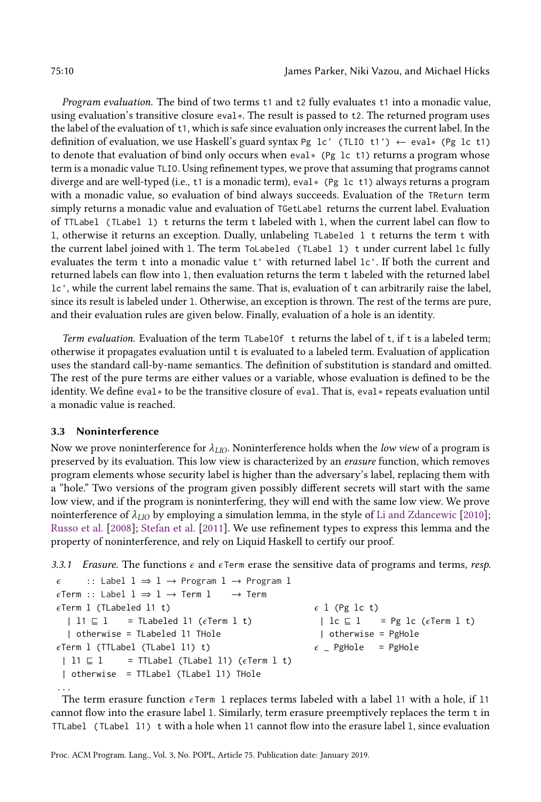Program evaluation. The bind of two terms t1 and t2 fully evaluates t1 into a monadic value, using evaluation's transitive closure eval∗. The result is passed to t2. The returned program uses the label of the evaluation of t1, which is safe since evaluation only increases the current label. In the definition of evaluation, we use Haskell's guard syntax Pg lc' (TLIO t1') ← eval∗ (Pg lc t1) to denote that evaluation of bind only occurs when eval∗ (Pg lc t1) returns a program whose term is a monadic value TLIO. Using refinement types, we prove that assuming that programs cannot diverge and are well-typed (i.e., t1 is a monadic term), eval∗ (Pg lc t1) always returns a program with a monadic value, so evaluation of bind always succeeds. Evaluation of the TReturn term simply returns a monadic value and evaluation of TGetLabel returns the current label. Evaluation of TTLabel ( TLabel l) t returns the term t labeled with l, when the current label can flow to l, otherwise it returns an exception. Dually, unlabeling TLabeled l t returns the term t with the current label joined with l. The term ToLabeled ( TLabel l) t under current label lc fully evaluates the term t into a monadic value t' with returned label lc'. If both the current and returned labels can flow into l, then evaluation returns the term t labeled with the returned label lc', while the current label remains the same. That is, evaluation of t can arbitrarily raise the label, since its result is labeled under l. Otherwise, an exception is thrown. The rest of the terms are pure, and their evaluation rules are given below. Finally, evaluation of a hole is an identity.

Term evaluation. Evaluation of the term  $T$ LabelOf t returns the label of t, if t is a labeled term; otherwise it propagates evaluation until t is evaluated to a labeled term. Evaluation of application uses the standard call-by-name semantics. The definition of substitution is standard and omitted. The rest of the pure terms are either values or a variable, whose evaluation is defined to be the identity. We define eval∗ to be the transitive closure of eval. That is, eval∗ repeats evaluation until a monadic value is reached.

## <span id="page-9-0"></span>3.3 Noninterference

Now we prove noninterference for  $\lambda_{LIO}$ . Noninterference holds when the low view of a program is preserved by its evaluation. This low view is characterized by an erasure function, which removes program elements whose security label is higher than the adversary's label, replacing them with a "hole." Two versions of the program given possibly different secrets will start with the same low view, and if the program is noninterfering, they will end with the same low view. We prove nointerference of  $\lambda_{LIO}$  by employing a simulation lemma, in the style of [Li and Zdancewic](#page-28-17) [\[2010\]](#page-28-17); [Russo et al.](#page-29-15) [\[2008\]](#page-29-15); [Stefan et al.](#page-29-6) [\[2011\]](#page-29-6). We use refinement types to express this lemma and the property of noninterference, and rely on Liquid Haskell to certify our proof.

3.3.1 Erasure. The functions  $\epsilon$  and  $\epsilon$  Term erase the sensitive data of programs and terms, resp.

```
\epsilon :: Label 1 ⇒ 1 → Program 1 → Program 1
\epsilonTerm :: Label l \Rightarrow l \rightarrow Term l \rightarrow Term
\epsilonTerm 1 (TLabeled 11 t)
  | l1 \subseteq l = TLabeled l1 (\epsilonTerm l t)
  | otherwise = TLabeled l1 THole
\epsilonTerm 1 (TTLabel (TLabel 11) t)
 | l1 ⊑ l = TTLabel (TLabel l1) (\epsilonTerm l t)
 | otherwise = TTLabel (TLabel l1) THole
...
                                                               \epsilon l (Pg lc t)
                                                                 | lc \sqsubseteq l = Pg lc (\epsilonTerm l t)
                                                                 | otherwise = PgHole
                                                               \epsilon _ PgHole = PgHole
```
The term erasure function  $\epsilon$ Term 1 replaces terms labeled with a label 11 with a hole, if 11 cannot flow into the erasure label l. Similarly, term erasure preemptively replaces the term t in TTLabel ( TLabel l1) t with a hole when l1 cannot flow into the erasure label l, since evaluation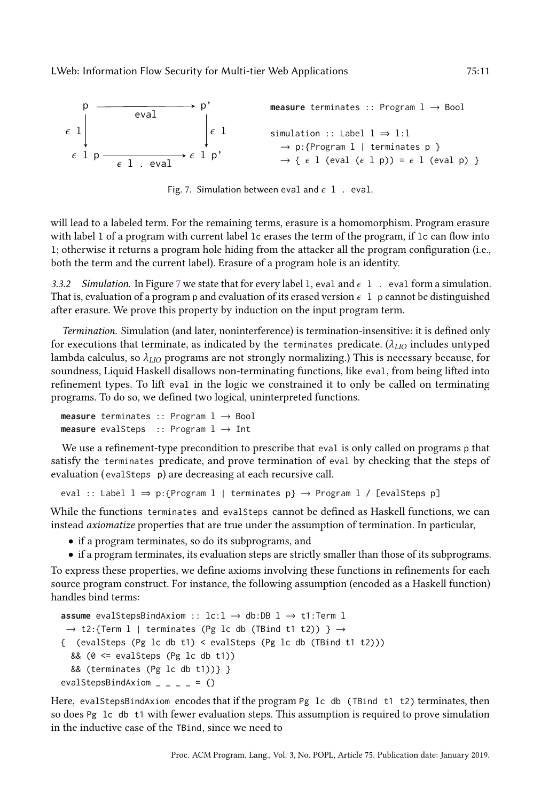<span id="page-10-0"></span>

Fig. 7. Simulation between eval and  $\epsilon$  1. eval.

will lead to a labeled term. For the remaining terms, erasure is a homomorphism. Program erasure with label 1 of a program with current label 1c erases the term of the program, if 1c can flow into l; otherwise it returns a program hole hiding from the attacker all the program configuration (i.e., both the term and the current label). Erasure of a program hole is an identity.

<span id="page-10-1"></span>3.3.2 Simulation. In Figure [7](#page-10-0) we state that for every label 1, eval and  $\epsilon$  1 . eval form a simulation. That is, evaluation of a program p and evaluation of its erased version  $\epsilon$  1 p cannot be distinguished after erasure. We prove this property by induction on the input program term.

Termination. Simulation (and later, noninterference) is termination-insensitive: it is defined only for executions that terminate, as indicated by the terminates predicate. ( $\lambda_{LIO}$  includes untyped lambda calculus, so  $\lambda_{LIO}$  programs are not strongly normalizing.) This is necessary because, for soundness, Liquid Haskell disallows non-terminating functions, like eval, from being lifted into refinement types. To lift eval in the logic we constrained it to only be called on terminating programs. To do so, we defined two logical, uninterpreted functions.

**measure** terminates :: Program l → Bool **measure** evalSteps :: Program l → Int

We use a refinement-type precondition to prescribe that eval is only called on programs p that satisfy the terminates predicate, and prove termination of eval by checking that the steps of evaluation ( evalSteps p) are decreasing at each recursive call.

```
eval :: Label l ⇒ p:{Program l | terminates p} → Program l / [evalSteps p]
```
While the functions terminates and evalSteps cannot be defined as Haskell functions, we can instead axiomatize properties that are true under the assumption of termination. In particular,

• if a program terminates, so do its subprograms, and

• if a program terminates, its evaluation steps are strictly smaller than those of its subprograms.

To express these properties, we define axioms involving these functions in refinements for each source program construct. For instance, the following assumption (encoded as a Haskell function) handles bind terms:

```
assume evalStepsBindAxiom :: lc:l → db:DB l → t1:Term l
\rightarrow t2:{Term l | terminates (Pg lc db (TBind t1 t2)) } \rightarrow{ (evalSteps (Pg lc db t1) < evalSteps (Pg lc db (TBind t1 t2)))
 &8 (0 <= evalSteps (Pg lc db t1))
 && (terminates (Pg lc db t1))} }
evalStepsBindAxiom _ _ _ _ _ _ _ = (
```
Here, evalStepsBindAxiom encodes that if the program Pg 1c db (TBind t1 t2) terminates, then so does Pg lc db t1 with fewer evaluation steps. This assumption is required to prove simulation in the inductive case of the TBind, since we need to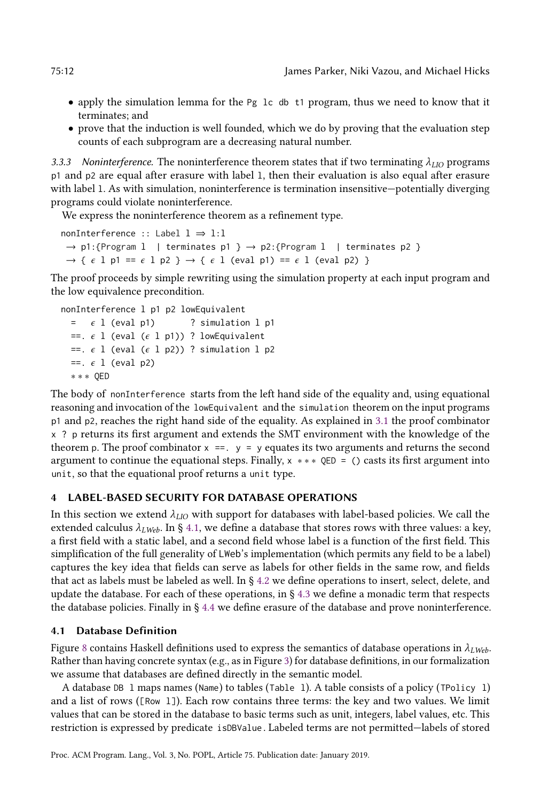- apply the simulation lemma for the Pg lc db t1 program, thus we need to know that it terminates; and
- prove that the induction is well founded, which we do by proving that the evaluation step counts of each subprogram are a decreasing natural number.

3.3.3 Noninterference. The noninterference theorem states that if two terminating  $\lambda_{LIO}$  programs p1 and p2 are equal after erasure with label l, then their evaluation is also equal after erasure with label l. As with simulation, noninterference is termination insensitive—potentially diverging programs could violate noninterference.

We express the noninterference theorem as a refinement type.

```
nonInterference :: Label l \Rightarrow l:l\rightarrow p1:{Program 1 | terminates p1 } \rightarrow p2:{Program 1 | terminates p2 }
 \rightarrow { \epsilon l p1 == \epsilon l p2 } \rightarrow { \epsilon l (eval p1) == \epsilon l (eval p2) }
```
The proof proceeds by simple rewriting using the simulation property at each input program and the low equivalence precondition.

```
nonInterference l p1 p2 lowEquivalent
  = \epsilon l (eval p1) ? simulation l p1
  ==. \epsilon l (eval (\epsilon l p1)) ? lowEquivalent
  ==. \epsilon l (eval (\epsilon l p2)) ? simulation l p2
  ==. \epsilon 1 (eval p2)
  ∗ ∗ ∗ QED
```
The body of nonInterference starts from the left hand side of the equality and, using equational reasoning and invocation of the lowEquivalent and the simulation theorem on the input programs p1 and p2, reaches the right hand side of the equality. As explained in [3.1](#page-6-2) the proof combinator x ? p returns its first argument and extends the SMT environment with the knowledge of the theorem p. The proof combinator  $x == y = y$  equates its two arguments and returns the second argument to continue the equational steps. Finally,  $x * * * QED = ()$  casts its first argument into unit, so that the equational proof returns a unit type.

## <span id="page-11-0"></span>4 LABEL-BASED SECURITY FOR DATABASE OPERATIONS

In this section we extend  $\lambda_{LIO}$  with support for databases with label-based policies. We call the extended calculus  $\lambda_{LWeb}$ . In § [4.1,](#page-11-1) we define a database that stores rows with three values: a key, a first field with a static label, and a second field whose label is a function of the first field. This simplification of the full generality of LWeb's implementation (which permits any field to be a label) captures the key idea that fields can serve as labels for other fields in the same row, and fields that act as labels must be labeled as well. In § [4.2](#page-12-0) we define operations to insert, select, delete, and update the database. For each of these operations, in  $\S$  [4.3](#page-13-0) we define a monadic term that respects the database policies. Finally in § [4.4](#page-16-0) we define erasure of the database and prove noninterference.

#### <span id="page-11-1"></span>4.1 Database Definition

Figure [8](#page-12-1) contains Haskell definitions used to express the semantics of database operations in  $\lambda_{LWeb}$ . Rather than having concrete syntax (e.g., as in Figure [3\)](#page-3-0) for database definitions, in our formalization we assume that databases are defined directly in the semantic model.

A database DB l maps names (Name) to tables (Table l). A table consists of a policy (TPolicy l) and a list of rows ([Row l]). Each row contains three terms: the key and two values. We limit values that can be stored in the database to basic terms such as unit, integers, label values, etc. This restriction is expressed by predicate isDBValue . Labeled terms are not permitted—labels of stored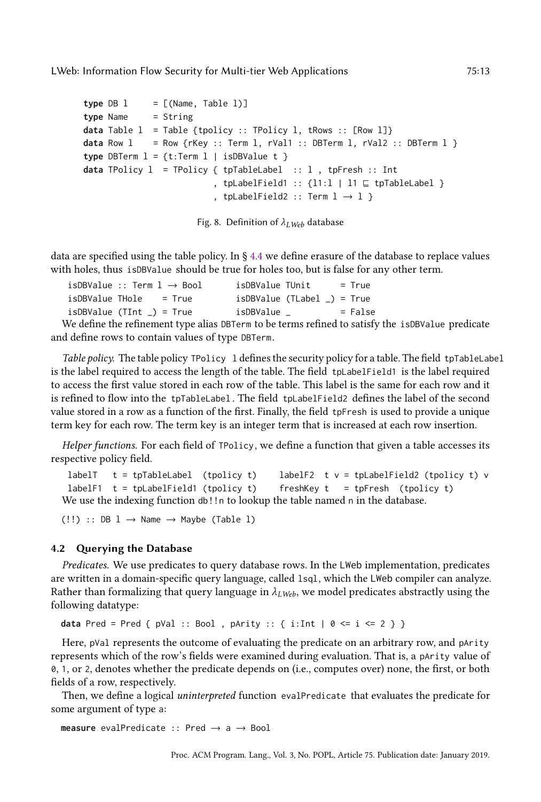```
type DB l = [(Name, Table 1)]type Name = String
data Table 1 = Table {tpolicy :: TPolicy 1, tRows :: [Row 1]}
data Row l = Row {rKey :: Term 1, rVal1 :: DBTerm 1, rVal2 :: DBTerm 1 }
type DBTerm l = \{t: \text{Term} \mid l \text{ is}DBValue t \}data TPolicy l = TPolicy { tpTableLabel :: l , tpFresh :: Int
                           , tpLabelField1 :: {l1:l | l1 ⊑ tpTableLabel }
                           , tpLabelField2 :: Term 1 \rightarrow 1 }
```
Fig. 8. Definition of  $\lambda_{LWeb}$  database

data are specified using the table policy. In § [4.4](#page-16-0) we define erasure of the database to replace values with holes, thus isDBValue should be true for holes too, but is false for any other term.

| isDBValue :: Term $l \rightarrow$ Bool | isDBValue TUnit<br>$= True$   |  |
|----------------------------------------|-------------------------------|--|
| isDBValue THole<br>$=$ True            | $isDBValue (TLabel _) = True$ |  |
| isDBValue (TInt _) = True              | $= False$<br>isDBValue        |  |
| $\tau$ 1 $\alpha$ 1 $\alpha$           | $\sim$ 1. $\sim$<br>--- - - - |  |

We define the refinement type alias DBTerm to be terms refined to satisfy the isDBValue predicate and define rows to contain values of type DBTerm.

Table policy. The table policy TPolicy 1 defines the security policy for a table. The field tpTableLabel is the label required to access the length of the table. The field tpLabelField1 is the label required to access the first value stored in each row of the table. This label is the same for each row and it is refined to flow into the tpTableLabel . The field tpLabelField2 defines the label of the second value stored in a row as a function of the first. Finally, the field tpFresh is used to provide a unique term key for each row. The term key is an integer term that is increased at each row insertion.

Helper functions. For each field of TPolicy, we define a function that given a table accesses its respective policy field.

```
labelT = tpTableLabel (toplicity t)labelF1 t = tpLabelField1 (tpolicy t)
                                           labelF2 t v = tpLabelField2 (tpolicy t) v
                                           freshKey t = tpFresh (tpolicy t)We use the indexing function db!!n to lookup the table named n in the database.
```
(!!) :: DB  $1 \rightarrow$  Name  $\rightarrow$  Maybe (Table 1)

#### <span id="page-12-0"></span>4.2 Querying the Database

Predicates. We use predicates to query database rows. In the LWeb implementation, predicates are written in a domain-specific query language, called lsql, which the LWeb compiler can analyze. Rather than formalizing that query language in  $\lambda_{LWeb}$ , we model predicates abstractly using the following datatype:

```
data Pred = Pred { pVal :: Bool , pArity :: { i:Int | 0 \le i \le 2 } }
```
Here, pVal represents the outcome of evaluating the predicate on an arbitrary row, and pArity represents which of the row's fields were examined during evaluation. That is, a pArity value of 0, 1, or 2, denotes whether the predicate depends on (i.e., computes over) none, the first, or both fields of a row, respectively.

Then, we define a logical *uninterpreted* function evalPredicate that evaluates the predicate for some argument of type a:

**measure** evalPredicate :: Pred → a → Bool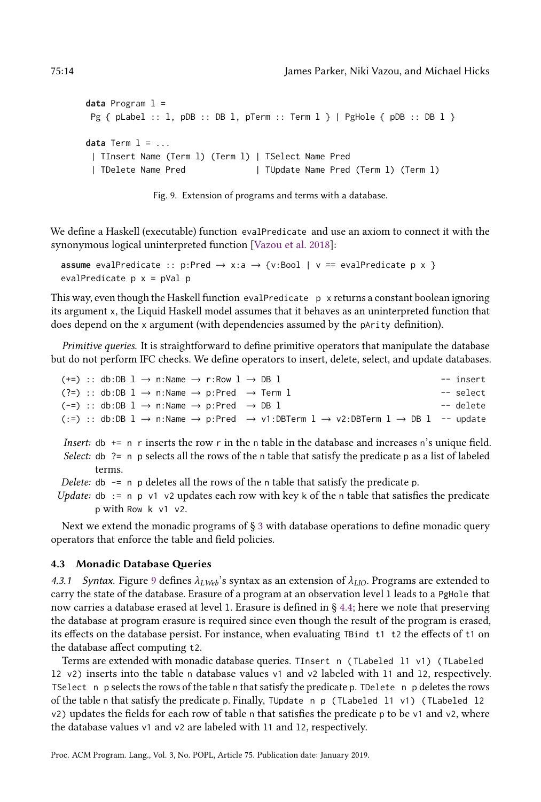```
data Program l =
Pg { pLabel :: l, pDB :: DB l, pTerm :: Term l } | PgHole { pDB :: DB l }
data Term l = ...| TInsert Name (Term l) (Term l) | TSelect Name Pred
 | TDelete Name Pred | TUpdate Name Pred (Term 1) (Term 1)
```
Fig. 9. Extension of programs and terms with a database.

We define a Haskell (executable) function evalPredicate and use an axiom to connect it with the synonymous logical uninterpreted function [\[Vazou et al.](#page-29-14) [2018\]](#page-29-14):

**assume** evalPredicate :: p:Pred → x:a → {v:Bool | v == evalPredicate p x } evalPredicate p x = pVal p

This way, even though the Haskell function evalPredicate  $p \times$  returns a constant boolean ignoring its argument x, the Liquid Haskell model assumes that it behaves as an uninterpreted function that does depend on the x argument (with dependencies assumed by the pArity definition).

Primitive queries. It is straightforward to define primitive operators that manipulate the database but do not perform IFC checks. We define operators to insert, delete, select, and update databases.

 $(+=):$  db:DB  $1 \rightarrow n$ :Name  $\rightarrow r:$ Row  $1 \rightarrow DB$  1  $(?=) :: db:DB 1 \rightarrow n:Name \rightarrow p:Pred \rightarrow Term 1$  -- select  $(-=)$  :: db:DB  $1 \rightarrow n$ :Name  $\rightarrow p$ :Pred  $\rightarrow$  DB 1 (:=) :: db:DB l → n:Name → p:Pred → v1:DBTerm l → v2:DBTerm l → DB l -- update

Insert: db += n r inserts the row r in the n table in the database and increases n's unique field. Select:  $db$  ?= n p selects all the rows of the n table that satisfy the predicate p as a list of labeled terms.

Delete:  $db$  -= n p deletes all the rows of the n table that satisfy the predicate p.

Update: db := n p v1 v2 updates each row with key k of the n table that satisfies the predicate p with Row k v1 v2.

Next we extend the monadic programs of § [3](#page-6-0) with database operations to define monadic query operators that enforce the table and field policies.

### <span id="page-13-0"></span>4.3 Monadic Database Queries

4.3.1 Syntax. Figure [9](#page-13-1) defines  $\lambda_{LWeb}$ 's syntax as an extension of  $\lambda_{LIO}$ . Programs are extended to carry the state of the database. Erasure of a program at an observation level l leads to a PgHole that now carries a database erased at level l. Erasure is defined in § [4.4;](#page-16-0) here we note that preserving the database at program erasure is required since even though the result of the program is erased, its effects on the database persist. For instance, when evaluating TBind t1 t2 the effects of t1 on the database affect computing t2.

Terms are extended with monadic database queries. TInsert n ( TLabeled l1 v1) ( TLabeled l2 v2) inserts into the table n database values v1 and v2 labeled with l1 and l2, respectively. TSelect n p selects the rows of the table n that satisfy the predicate p. TDelete n p deletes the rows of the table n that satisfy the predicate p. Finally, TUpdate n p ( TLabeled l1 v1) ( TLabeled l2 v2) updates the fields for each row of table n that satisfies the predicate p to be v1 and v2, where the database values v1 and v2 are labeled with l1 and l2, respectively.

<span id="page-13-1"></span>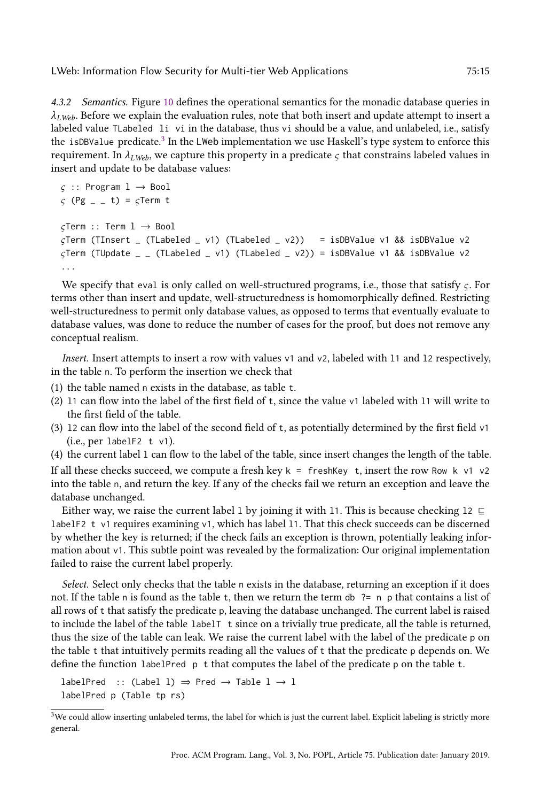<span id="page-14-1"></span>4.3.2 Semantics. Figure [10](#page-15-0) defines the operational semantics for the monadic database queries in  $\lambda_{LWeb}$ . Before we explain the evaluation rules, note that both insert and update attempt to insert a labeled value TLabeled li vi in the database, thus vi should be a value, and unlabeled, i.e., satisfy the <code>isDBValue</code> predicate. $^3$  $^3$  In the LWeb implementation we use Haskell's type system to enforce this requirement. In  $\lambda_{LWeb}$ , we capture this property in a predicate  $\varsigma$  that constrains labeled values in insert and update to be database values:

```
\varsigma :: Program 1 \rightarrow Bool
\varsigma (Pg = = t) = \varsigmaTerm t
\varsigmaTerm :: Term 1 \rightarrow Bool
ςTerm (TInsert _ (TLabeled _ v1) (TLabeled _ v2)) = isDBValue v1 && isDBValue v2
ςTerm (TUpdate _ _ (TLabeled _ v1) (TLabeled _ v2)) = isDBValue v1 && isDBValue v2
...
```
We specify that eval is only called on well-structured programs, i.e., those that satisfy  $\zeta$ . For terms other than insert and update, well-structuredness is homomorphically defined. Restricting well-structuredness to permit only database values, as opposed to terms that eventually evaluate to database values, was done to reduce the number of cases for the proof, but does not remove any conceptual realism.

Insert. Insert attempts to insert a row with values v1 and v2, labeled with l1 and l2 respectively, in the table n. To perform the insertion we check that

- (1) the table named n exists in the database, as table t.
- (2) l1 can flow into the label of the first field of t, since the value v1 labeled with l1 will write to the first field of the table.
- (3) l2 can flow into the label of the second field of t, as potentially determined by the first field v1  $(i.e., per labelF2 t v1).$
- (4) the current label l can flow to the label of the table, since insert changes the length of the table.

If all these checks succeed, we compute a fresh key k = fresh Key t, insert the row Row k  $\vee$ 1  $\vee$ 2 into the table n, and return the key. If any of the checks fail we return an exception and leave the database unchanged.

Either way, we raise the current label l by joining it with l1. This is because checking l2 ⊑ labelF2 t v1 requires examining v1, which has label l1. That this check succeeds can be discerned by whether the key is returned; if the check fails an exception is thrown, potentially leaking information about v1. This subtle point was revealed by the formalization: Our original implementation failed to raise the current label properly.

Select. Select only checks that the table n exists in the database, returning an exception if it does not. If the table n is found as the table t, then we return the term db  $?= n$  p that contains a list of all rows of t that satisfy the predicate p, leaving the database unchanged. The current label is raised to include the label of the table labelT t since on a trivially true predicate, all the table is returned, thus the size of the table can leak. We raise the current label with the label of the predicate p on the table t that intuitively permits reading all the values of t that the predicate p depends on. We define the function labelPred p t that computes the label of the predicate p on the table t.

```
labelPred :: (Label 1) \Rightarrow Pred \rightarrow Table 1 \rightarrow 1
labelPred p (Table tp rs)
```
<span id="page-14-0"></span> $3$ We could allow inserting unlabeled terms, the label for which is just the current label. Explicit labeling is strictly more general.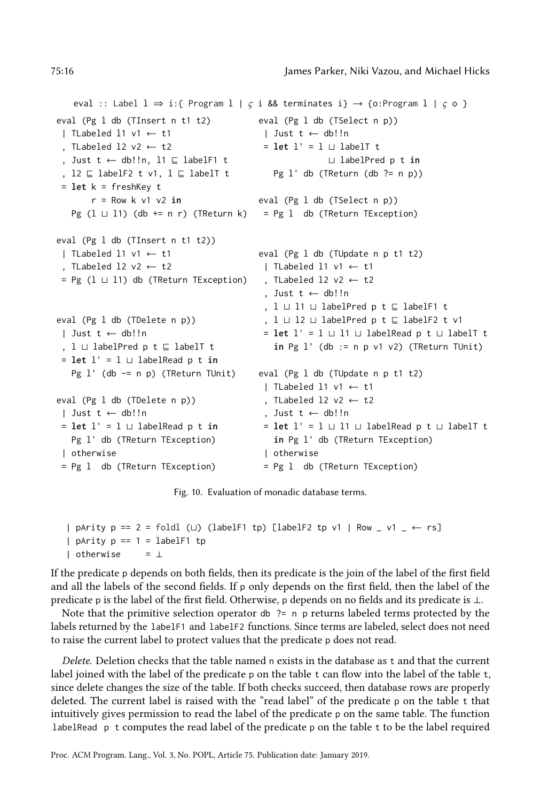```
eval :: Label 1 \Rightarrow i:{ Program 1 \mid \varsigma i && terminates i} \rightarrow {o:Program 1 \mid \varsigma o }
eval (Pg l db (TInsert n t1 t2)
 | TLabeled l1 v1 ← t1
 , TLabeled 12 v2 \leftarrow t2
 , Just t ← db!!n, l1 ⊑ labelF1 t
 , l2 ⊑ labelF2 t v1, l ⊑ labelT t
 = let k = freshKey t
       r = Row k v1 v2 in
   Pg (l ⊔ l1) (db += n r) (TReturn k)
= Pg l db (TReturn TException)
eval (Pg l db (TInsert n t1 t2))
 | TLabeled l1 v1 ← t1
 , TLabeled 12 v2 \leftarrow t2
 = Pg (l ⊔ l1) db (TReturn TException)
eval (Pg l db (TDelete n p))
 | Just t \leftarrow db!!n, l ⊔ labelPred p t ⊑ labelT t
 = let l' = l ⊔ labelRead p t in
   Pg l' (db -= n p) (TReturn TUnit)
eval (Pg l db (TDelete n p))
 | Just t \leftarrow db!!n= let l' = l ⊔ labelRead p t in
   Pg l' db (TReturn TException)
 | otherwise
 = Pg l db (TReturn TException)
                                           eval (Pg l db (TSelect n p))
                                            | Just t ← db!!n
                                            = let l' = l ⊔ labelT t
                                                          ⊔ labelPred p t in
                                              Pg l' db (TReturn (db ?= n p))
                                           eval (Pg l db (TSelect n p))
                                           eval (Pg l db (TUpdate n p t1 t2)
                                            | TLabeled l1 v1 ← t1
                                            , TLabeled 12 v2 \leftarrow t2
                                            , Just t \leftarrow db!!n, l ⊔ l1 ⊔ labelPred p t ⊑ labelF1 t
                                            , l ⊔ l2 ⊔ labelPred p t ⊑ labelF2 t v1
                                            = let l' = l ⊔ l1 ⊔ labelRead p t ⊔ labelT t
                                              in Pg l' (db := n p v1 v2) (TReturn TUnit)
                                           eval (Pg l db (TUpdate n p t1 t2)
                                            | TLabeled 11 v1 \leftarrow t1
                                            , TLabeled l2 v2 ← t2
                                            , Just t ← db!!n
                                            = let l' = l ⊔ l1 ⊔ labelRead p t ⊔ labelT t
                                              in Pg l' db (TReturn TException)
                                            | otherwise
                                            = Pg l db (TReturn TException)
```
Fig. 10. Evaluation of monadic database terms.

```
| pArity p == 2 = foldl (⊔) (labelF1 tp) [labelF2 tp v1 | Row _ v1 _ ← rs]
| pArity p == 1 = labelF1 tp
| otherwise = ⊥
```
If the predicate p depends on both fields, then its predicate is the join of the label of the first field and all the labels of the second fields. If p only depends on the first field, then the label of the predicate p is the label of the first field. Otherwise, p depends on no fields and its predicate is ⊥.

Note that the primitive selection operator db  $?= n$  p returns labeled terms protected by the labels returned by the labelF1 and labelF2 functions. Since terms are labeled, select does not need to raise the current label to protect values that the predicate p does not read.

Delete. Deletion checks that the table named n exists in the database as t and that the current label joined with the label of the predicate p on the table t can flow into the label of the table t, since delete changes the size of the table. If both checks succeed, then database rows are properly deleted. The current label is raised with the "read label" of the predicate p on the table t that intuitively gives permission to read the label of the predicate p on the same table. The function labelRead p t computes the read label of the predicate p on the table t to be the label required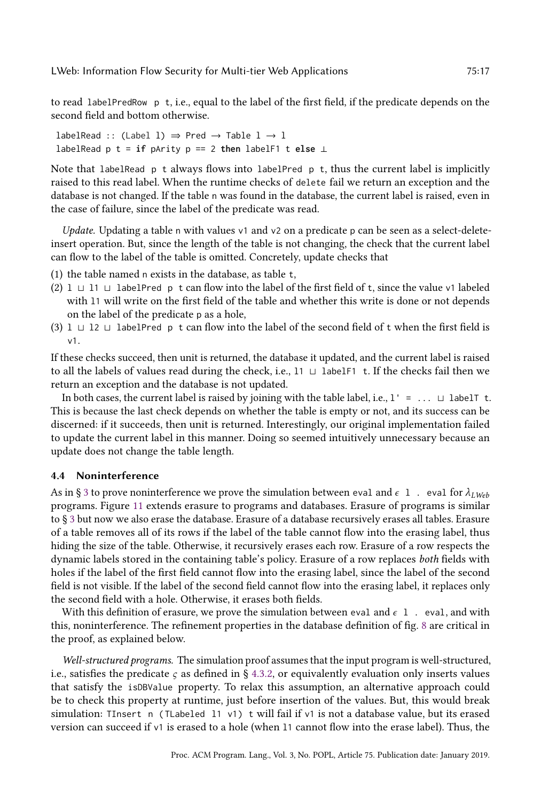to read labelPredRow p t, i.e., equal to the label of the first field, if the predicate depends on the second field and bottom otherwise.

labelRead :: (Label l)  $\Rightarrow$  Pred  $\rightarrow$  Table l  $\rightarrow$  l labelRead p t = **if** pArity p == 2 **then** labelF1 t **else** ⊥

Note that labelRead  $p$  t always flows into labelPred  $p$  t, thus the current label is implicitly raised to this read label. When the runtime checks of delete fail we return an exception and the database is not changed. If the table n was found in the database, the current label is raised, even in the case of failure, since the label of the predicate was read.

Update. Updating a table n with values v1 and v2 on a predicate p can be seen as a select-deleteinsert operation. But, since the length of the table is not changing, the check that the current label can flow to the label of the table is omitted. Concretely, update checks that

- (1) the table named n exists in the database, as table t,
- (2) l ⊔ l1 ⊔ labelPred p t can flow into the label of the first field of t, since the value v1 labeled with l1 will write on the first field of the table and whether this write is done or not depends on the label of the predicate p as a hole,
- (3) l ⊔ l2 ⊔ labelPred p t can flow into the label of the second field of t when the first field is v1.

If these checks succeed, then unit is returned, the database it updated, and the current label is raised to all the labels of values read during the check, i.e., l1 ⊔ labelF1 t. If the checks fail then we return an exception and the database is not updated.

In both cases, the current label is raised by joining with the table label, i.e.,  $1' = ... \sqcup$  labelT t. This is because the last check depends on whether the table is empty or not, and its success can be discerned: if it succeeds, then unit is returned. Interestingly, our original implementation failed to update the current label in this manner. Doing so seemed intuitively unnecessary because an update does not change the table length.

## <span id="page-16-0"></span>4.4 Noninterference

As in § [3](#page-6-0) to prove noninterference we prove the simulation between eval and  $\epsilon$  l . eval for  $\lambda_{LWeb}$ programs. Figure [11](#page-17-1) extends erasure to programs and databases. Erasure of programs is similar to § [3](#page-6-0) but now we also erase the database. Erasure of a database recursively erases all tables. Erasure of a table removes all of its rows if the label of the table cannot flow into the erasing label, thus hiding the size of the table. Otherwise, it recursively erases each row. Erasure of a row respects the dynamic labels stored in the containing table's policy. Erasure of a row replaces both fields with holes if the label of the first field cannot flow into the erasing label, since the label of the second field is not visible. If the label of the second field cannot flow into the erasing label, it replaces only the second field with a hole. Otherwise, it erases both fields.

With this definition of erasure, we prove the simulation between eval and  $\epsilon$  1 . eval, and with this, noninterference. The refinement properties in the database definition of fig. [8](#page-12-1) are critical in the proof, as explained below.

Well-structured programs. The simulation proof assumes that the input program is well-structured, i.e., satisfies the predicate  $\varsigma$  as defined in § [4.3.2,](#page-14-1) or equivalently evaluation only inserts values that satisfy the isDBValue property. To relax this assumption, an alternative approach could be to check this property at runtime, just before insertion of the values. But, this would break simulation: TInsert n (TLabeled 11 v1) t will fail if v1 is not a database value, but its erased version can succeed if v1 is erased to a hole (when l1 cannot flow into the erase label). Thus, the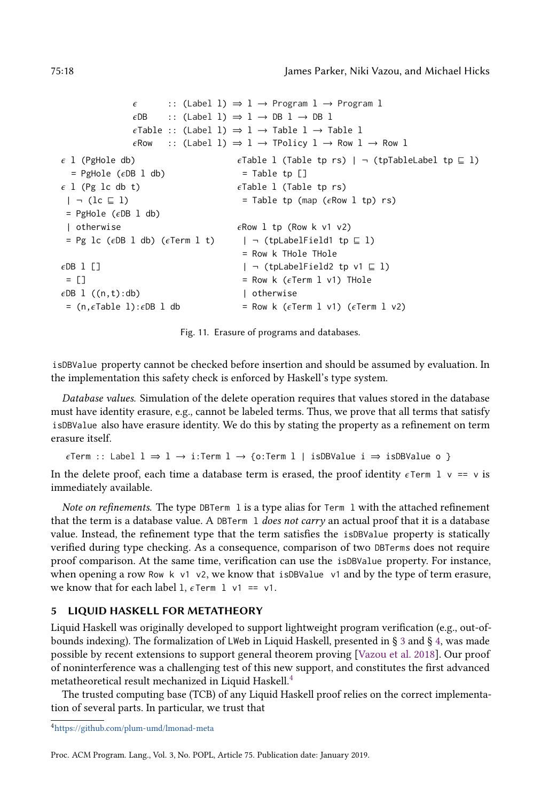```
\epsilon :: (Label 1) ⇒ 1 → Program 1 → Program 1
                  \epsilonDB :: (Label 1) \Rightarrow 1 \rightarrow DB 1 \rightarrow DB 1
                  ϵTable :: (Label l) ⇒ l → Table l → Table l
                  \epsilonRow :: (Label 1) \Rightarrow 1 \rightarrow TPolicy 1 \rightarrow Row 1 \rightarrow Row 1
\epsilon l (PgHole db)
  = PgHole (\epsilonDB l db)
\epsilon l (Pg lc db t)
 | ¬ (lc ⊑ l)
 = PgHole (\epsilonDB l db)
 | otherwise
 = Pg lc (\epsilonDB l db) (\epsilonTerm l t)
\epsilonDB 1 []
 = []
\epsilonDB 1 ((n,t):db)
 = (n, \epsilon)Table l):\epsilonDB l db
                                              \epsilonTable l (Table tp rs) | ¬ (tpTableLabel tp \sqsubseteq l)
                                              = Table tp []\epsilonTable l (Table tp rs)
                                               = Table tp (map (\epsilonRow l tp) rs)
                                              \epsilonRow 1 tp (Row k v1 v2)
                                               | ¬ (tpLabelField1 tp ⊑ l)
                                               = Row k THole THole
                                                | ¬ (tpLabelField2 tp v1 ⊑ l)
                                               = Row k (\epsilonTerm 1 v1) THole
                                               | otherwise
                                               = Row k (\epsilonTerm l v1) (\epsilonTerm l v2)
```
Fig. 11. Erasure of programs and databases.

isDBValue property cannot be checked before insertion and should be assumed by evaluation. In the implementation this safety check is enforced by Haskell's type system.

Database values. Simulation of the delete operation requires that values stored in the database must have identity erasure, e.g., cannot be labeled terms. Thus, we prove that all terms that satisfy isDBValue also have erasure identity. We do this by stating the property as a refinement on term erasure itself.

 $\epsilon$ Term :: Label l  $\Rightarrow$  l  $\rightarrow$  i:Term l  $\rightarrow$  {o:Term l | isDBValue i  $\Rightarrow$  isDBValue o }

In the delete proof, each time a database term is erased, the proof identity  $\epsilon$ Term 1 v == v is immediately available.

Note on refinements. The type DBTerm 1 is a type alias for Term 1 with the attached refinement that the term is a database value. A DBTerm 1 does not carry an actual proof that it is a database value. Instead, the refinement type that the term satisfies the isDBValue property is statically verified during type checking. As a consequence, comparison of two DBTerms does not require proof comparison. At the same time, verification can use the isDBValue property. For instance, when opening a row Row k  $\vee$ 1  $\vee$ 2, we know that isDBValue  $\vee$ 1 and by the type of term erasure, we know that for each label 1,  $\epsilon$ Term 1 v1 == v1.

# <span id="page-17-0"></span>5 LIQUID HASKELL FOR METATHEORY

Liquid Haskell was originally developed to support lightweight program verification (e.g., out-ofbounds indexing). The formalization of LWeb in Liquid Haskell, presented in § [3](#page-6-0) and § [4,](#page-11-0) was made possible by recent extensions to support general theorem proving [\[Vazou et al.](#page-29-14) [2018\]](#page-29-14). Our proof of noninterference was a challenging test of this new support, and constitutes the first advanced metatheoretical result mechanized in Liquid Haskell.[4](#page-17-2)

The trusted computing base (TCB) of any Liquid Haskell proof relies on the correct implementation of several parts. In particular, we trust that

<span id="page-17-2"></span><sup>4</sup><https://github.com/plum-umd/lmonad-meta>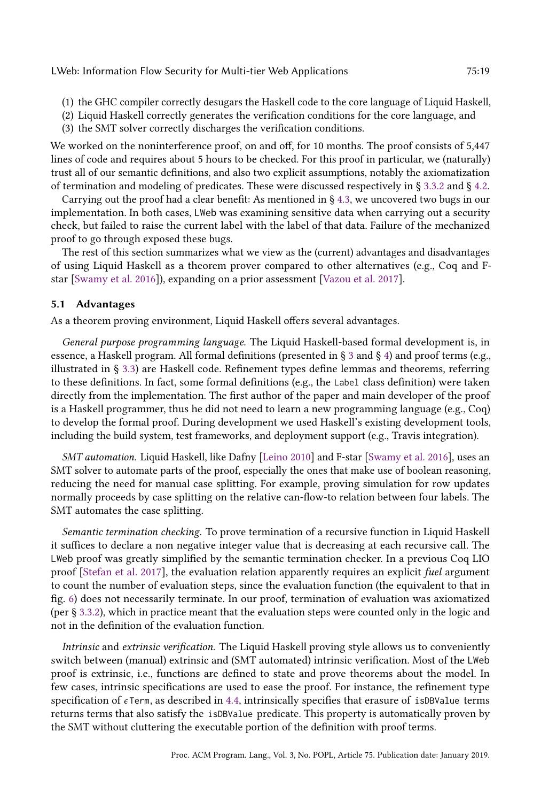- (1) the GHC compiler correctly desugars the Haskell code to the core language of Liquid Haskell,
- (2) Liquid Haskell correctly generates the verification conditions for the core language, and
- (3) the SMT solver correctly discharges the verification conditions.

We worked on the noninterference proof, on and off, for 10 months. The proof consists of 5,447 lines of code and requires about 5 hours to be checked. For this proof in particular, we (naturally) trust all of our semantic definitions, and also two explicit assumptions, notably the axiomatization of termination and modeling of predicates. These were discussed respectively in § [3.3.2](#page-10-1) and § [4.2.](#page-12-0)

Carrying out the proof had a clear benefit: As mentioned in § [4.3,](#page-13-0) we uncovered two bugs in our implementation. In both cases, LWeb was examining sensitive data when carrying out a security check, but failed to raise the current label with the label of that data. Failure of the mechanized proof to go through exposed these bugs.

The rest of this section summarizes what we view as the (current) advantages and disadvantages of using Liquid Haskell as a theorem prover compared to other alternatives (e.g., Coq and Fstar [\[Swamy et al.](#page-29-16) [2016\]](#page-29-16)), expanding on a prior assessment [\[Vazou et al.](#page-29-13) [2017\]](#page-29-13).

### 5.1 Advantages

As a theorem proving environment, Liquid Haskell offers several advantages.

General purpose programming language. The Liquid Haskell-based formal development is, in essence, a Haskell program. All formal definitions (presented in § [3](#page-6-0) and § [4\)](#page-11-0) and proof terms (e.g., illustrated in § [3.3\)](#page-9-0) are Haskell code. Refinement types define lemmas and theorems, referring to these definitions. In fact, some formal definitions (e.g., the Label class definition) were taken directly from the implementation. The first author of the paper and main developer of the proof is a Haskell programmer, thus he did not need to learn a new programming language (e.g., Coq) to develop the formal proof. During development we used Haskell's existing development tools, including the build system, test frameworks, and deployment support (e.g., Travis integration).

SMT automation. Liquid Haskell, like Dafny [\[Leino](#page-28-18) [2010\]](#page-28-18) and F-star [\[Swamy et al.](#page-29-16) [2016\]](#page-29-16), uses an SMT solver to automate parts of the proof, especially the ones that make use of boolean reasoning, reducing the need for manual case splitting. For example, proving simulation for row updates normally proceeds by case splitting on the relative can-flow-to relation between four labels. The SMT automates the case splitting.

Semantic termination checking. To prove termination of a recursive function in Liquid Haskell it suffices to declare a non negative integer value that is decreasing at each recursive call. The LWeb proof was greatly simplified by the semantic termination checker. In a previous Coq LIO proof [\[Stefan et al.](#page-29-17) [2017\]](#page-29-17), the evaluation relation apparently requires an explicit fuel argument to count the number of evaluation steps, since the evaluation function (the equivalent to that in fig. [6\)](#page-8-0) does not necessarily terminate. In our proof, termination of evaluation was axiomatized (per § [3.3.2\)](#page-10-1), which in practice meant that the evaluation steps were counted only in the logic and not in the definition of the evaluation function.

Intrinsic and extrinsic verification. The Liquid Haskell proving style allows us to conveniently switch between (manual) extrinsic and (SMT automated) intrinsic verification. Most of the LWeb proof is extrinsic, i.e., functions are defined to state and prove theorems about the model. In few cases, intrinsic specifications are used to ease the proof. For instance, the refinement type specification of  $\epsilon$  Term, as described in [4.4,](#page-16-0) intrinsically specifies that erasure of isDBValue terms returns terms that also satisfy the isDBValue predicate. This property is automatically proven by the SMT without cluttering the executable portion of the definition with proof terms.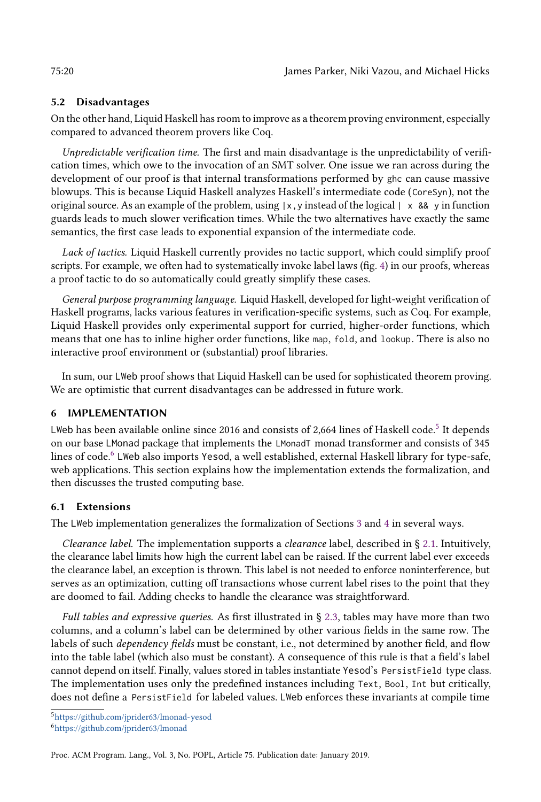# 5.2 Disadvantages

On the other hand, Liquid Haskell has room to improve as a theorem proving environment, especially compared to advanced theorem provers like Coq.

Unpredictable verification time. The first and main disadvantage is the unpredictability of verification times, which owe to the invocation of an SMT solver. One issue we ran across during the development of our proof is that internal transformations performed by ghc can cause massive blowups. This is because Liquid Haskell analyzes Haskell's intermediate code (CoreSyn), not the original source. As an example of the problem, using  $|x, y$  instead of the logical  $|x \& x$  y in function guards leads to much slower verification times. While the two alternatives have exactly the same semantics, the first case leads to exponential expansion of the intermediate code.

Lack of tactics. Liquid Haskell currently provides no tactic support, which could simplify proof scripts. For example, we often had to systematically invoke label laws (fig. [4\)](#page-6-1) in our proofs, whereas a proof tactic to do so automatically could greatly simplify these cases.

General purpose programming language. Liquid Haskell, developed for light-weight verification of Haskell programs, lacks various features in verification-specific systems, such as Coq. For example, Liquid Haskell provides only experimental support for curried, higher-order functions, which means that one has to inline higher order functions, like map, fold, and lookup. There is also no interactive proof environment or (substantial) proof libraries.

In sum, our LWeb proof shows that Liquid Haskell can be used for sophisticated theorem proving. We are optimistic that current disadvantages can be addressed in future work.

# <span id="page-19-0"></span>6 IMPLEMENTATION

LWeb has been available online since 2016 and consists of 2,664 lines of Haskell code.<sup>[5](#page-19-1)</sup> It depends on our base LMonad package that implements the LMonadT monad transformer and consists of 345 lines of code.<sup>[6](#page-19-2)</sup> LWeb also imports Yesod, a well established, external Haskell library for type-safe, web applications. This section explains how the implementation extends the formalization, and then discusses the trusted computing base.

## <span id="page-19-3"></span>6.1 Extensions

The LWeb implementation generalizes the formalization of Sections [3](#page-6-0) and [4](#page-11-0) in several ways.

Clearance label. The implementation supports a clearance label, described in § [2.1.](#page-2-3) Intuitively, the clearance label limits how high the current label can be raised. If the current label ever exceeds the clearance label, an exception is thrown. This label is not needed to enforce noninterference, but serves as an optimization, cutting off transactions whose current label rises to the point that they are doomed to fail. Adding checks to handle the clearance was straightforward.

Full tables and expressive queries. As first illustrated in  $\S$  [2.3,](#page-4-0) tables may have more than two columns, and a column's label can be determined by other various fields in the same row. The labels of such *dependency fields* must be constant, i.e., not determined by another field, and flow into the table label (which also must be constant). A consequence of this rule is that a field's label cannot depend on itself. Finally, values stored in tables instantiate Yesod's PersistField type class. The implementation uses only the predefined instances including Text, Bool, Int but critically, does not define a PersistField for labeled values. LWeb enforces these invariants at compile time

<span id="page-19-1"></span><sup>5</sup><https://github.com/jprider63/lmonad-yesod>

<span id="page-19-2"></span><sup>6</sup><https://github.com/jprider63/lmonad>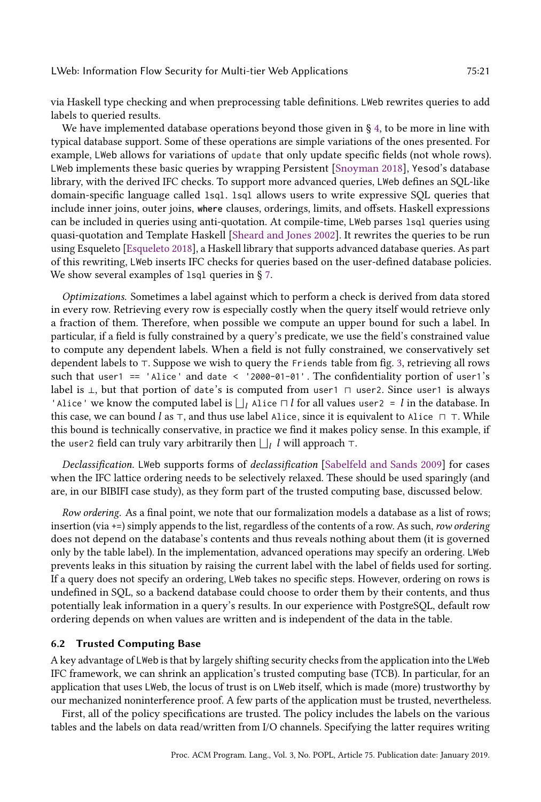via Haskell type checking and when preprocessing table definitions. LWeb rewrites queries to add labels to queried results.

We have implemented database operations beyond those given in  $\S 4$ , to be more in line with typical database support. Some of these operations are simple variations of the ones presented. For example, LWeb allows for variations of update that only update specific fields (not whole rows). LWeb implements these basic queries by wrapping Persistent [\[Snoyman](#page-29-12) [2018\]](#page-29-12), Yesod's database library, with the derived IFC checks. To support more advanced queries, LWeb defines an SQL-like domain-specific language called lsql. lsql allows users to write expressive SQL queries that include inner joins, outer joins, **where** clauses, orderings, limits, and offsets. Haskell expressions can be included in queries using anti-quotation. At compile-time, LWeb parses lsql queries using quasi-quotation and Template Haskell [\[Sheard and Jones](#page-29-9) [2002\]](#page-29-9). It rewrites the queries to be run using Esqueleto [\[Esqueleto](#page-28-11) [2018\]](#page-28-11), a Haskell library that supports advanced database queries. As part of this rewriting, LWeb inserts IFC checks for queries based on the user-defined database policies. We show several examples of 1sql queries in § [7.](#page-21-0)

Optimizations. Sometimes a label against which to perform a check is derived from data stored in every row. Retrieving every row is especially costly when the query itself would retrieve only a fraction of them. Therefore, when possible we compute an upper bound for such a label. In particular, if a field is fully constrained by a query's predicate, we use the field's constrained value to compute any dependent labels. When a field is not fully constrained, we conservatively set dependent labels to ⊤. Suppose we wish to query the Friends table from fig. [3,](#page-3-0) retrieving all rows such that user1 == 'Alice' and date < '2000-01-01' . The confidentiality portion of user1's label is ⊥, but that portion of date's is computed from user1 ⊓ user2. Since user1 is always 'Alice ' we know the computed label is  $\bigsqcup_l$  Alice  $\sqcap$  *l* for all values user2 = *l* in the database. In this case, we can bound l as ⊤, and thus use label Alice, since it is equivalent to Alice  $\Box$  ⊤. While this bound is technically conservative, in practice we find it makes policy sense. In this example, if the user2 field can truly vary arbitrarily then  $\Box_l$  l will approach ⊤.

Declassification. LWeb supports forms of declassification [\[Sabelfeld and Sands](#page-29-18) [2009\]](#page-29-18) for cases when the IFC lattice ordering needs to be selectively relaxed. These should be used sparingly (and are, in our BIBIFI case study), as they form part of the trusted computing base, discussed below.

Row ordering. As a final point, we note that our formalization models a database as a list of rows; insertion (via +=) simply appends to the list, regardless of the contents of a row. As such, row ordering does not depend on the database's contents and thus reveals nothing about them (it is governed only by the table label). In the implementation, advanced operations may specify an ordering. LWeb prevents leaks in this situation by raising the current label with the label of fields used for sorting. If a query does not specify an ordering, LWeb takes no specific steps. However, ordering on rows is undefined in SQL, so a backend database could choose to order them by their contents, and thus potentially leak information in a query's results. In our experience with PostgreSQL, default row ordering depends on when values are written and is independent of the data in the table.

#### <span id="page-20-0"></span>6.2 Trusted Computing Base

A key advantage of LWeb is that by largely shifting security checks from the application into the LWeb IFC framework, we can shrink an application's trusted computing base (TCB). In particular, for an application that uses LWeb, the locus of trust is on LWeb itself, which is made (more) trustworthy by our mechanized noninterference proof. A few parts of the application must be trusted, nevertheless.

First, all of the policy specifications are trusted. The policy includes the labels on the various tables and the labels on data read/written from I/O channels. Specifying the latter requires writing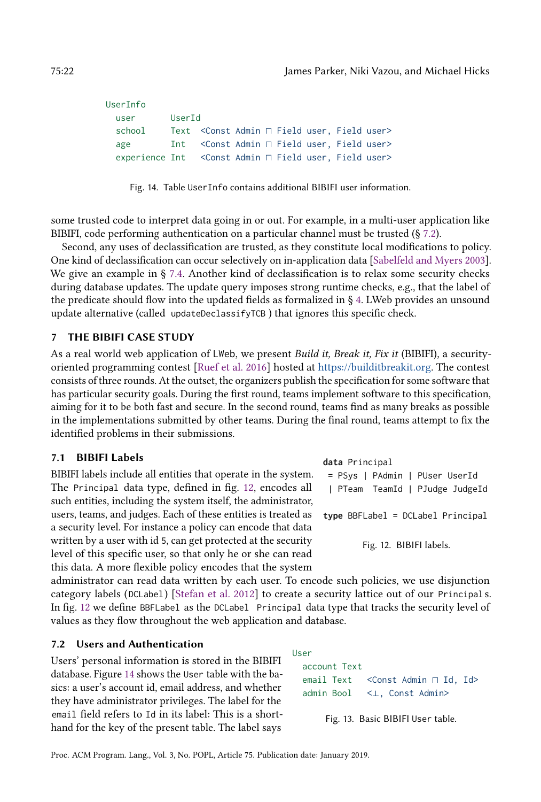<span id="page-21-3"></span>

| UserInfo                                                      |        |                                                              |  |  |  |
|---------------------------------------------------------------|--------|--------------------------------------------------------------|--|--|--|
| user                                                          | UserId |                                                              |  |  |  |
| school                                                        |        | Text <const admin="" field="" user="" user,="" □=""></const> |  |  |  |
| age                                                           |        | Int < Const Admin $\sqcap$ Field user, Field user>           |  |  |  |
| experience Int < Const Admin $\sqcap$ Field user, Field user> |        |                                                              |  |  |  |

Fig. 14. Table UserInfo contains additional BIBIFI user information.

some trusted code to interpret data going in or out. For example, in a multi-user application like BIBIFI, code performing authentication on a particular channel must be trusted (§ [7.2\)](#page-21-1).

Second, any uses of declassification are trusted, as they constitute local modifications to policy. One kind of declassification can occur selectively on in-application data [\[Sabelfeld and Myers](#page-29-1) [2003\]](#page-29-1). We give an example in § [7.4.](#page-23-0) Another kind of declassification is to relax some security checks during database updates. The update query imposes strong runtime checks, e.g., that the label of the predicate should flow into the updated fields as formalized in § [4.](#page-11-0) LWeb provides an unsound update alternative (called updateDeclassifyTCB ) that ignores this specific check.

## <span id="page-21-0"></span>7 THE BIBIFI CASE STUDY

As a real world web application of LWeb, we present Build it, Break it, Fix it (BIBIFI), a securityoriented programming contest [\[Ruef et al.](#page-29-10) [2016\]](#page-29-10) hosted at [https://builditbreakit.org.](https://builditbreakit.org) The contest consists of three rounds. At the outset, the organizers publish the specification for some software that has particular security goals. During the first round, teams implement software to this specification, aiming for it to be both fast and secure. In the second round, teams find as many breaks as possible in the implementations submitted by other teams. During the final round, teams attempt to fix the identified problems in their submissions.

# 7.1 BIBIFI Labels **data** Principal

BIBIFI labels include all entities that operate in the system. The Principal data type, defined in fig. [12,](#page-21-2) encodes all such entities, including the system itself, the administrator, users, teams, and judges. Each of these entities is treated as a security level. For instance a policy can encode that data written by a user with id 5, can get protected at the security level of this specific user, so that only he or she can read this data. A more flexible policy encodes that the system

<span id="page-21-2"></span>= PSys | PAdmin | PUser UserId | PTeam TeamId | PJudge JudgeId **type** BBFLabel = DCLabel Principal Fig. 12. BIBIFI labels.

administrator can read data written by each user. To encode such policies, we use disjunction category labels (DCLabel) [\[Stefan et al.](#page-29-7) [2012\]](#page-29-7) to create a security lattice out of our Principal s. In fig. [12](#page-21-2) we define BBFLabel as the DCLabel Principal data type that tracks the security level of values as they flow throughout the web application and database.

User

#### <span id="page-21-1"></span>7.2 Users and Authentication

Users' personal information is stored in the BIBIFI database. Figure [14](#page-21-3) shows the User table with the basics: a user's account id, email address, and whether they have administrator privileges. The label for the email field refers to Id in its label: This is a shorthand for the key of the present table. The label says

```
account Text
email Text <Const Admin ⊓ Id, Id>
admin Bool <⊥, Const Admin>
```
Fig. 13. Basic BIBIFI User table.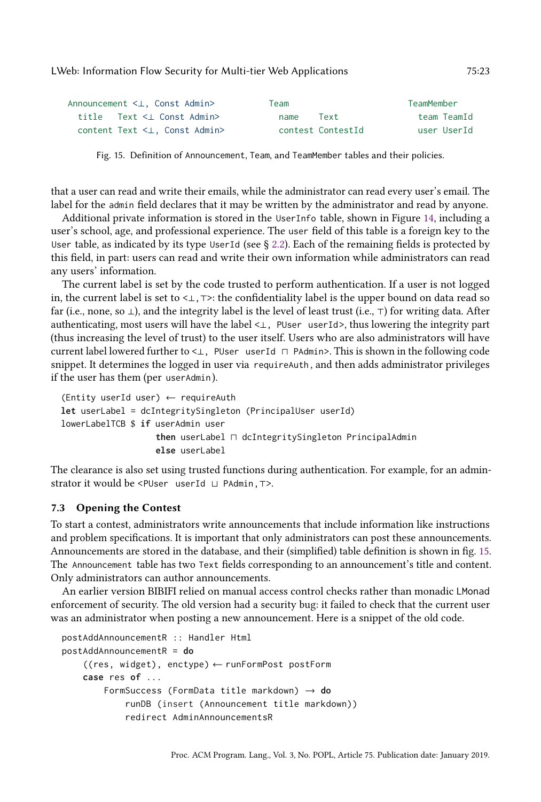<span id="page-22-0"></span>

| Announcement < $\perp$ , Const Admin> | Team              | TeamMember  |
|---------------------------------------|-------------------|-------------|
| title Text <1 Const Admin>            | Text<br>name      | team TeamId |
| content Text < $\perp$ , Const Admin> | contest ContestId | user UserId |

Fig. 15. Definition of Announcement, Team, and TeamMember tables and their policies.

that a user can read and write their emails, while the administrator can read every user's email. The label for the admin field declares that it may be written by the administrator and read by anyone.

Additional private information is stored in the UserInfo table, shown in Figure [14,](#page-21-3) including a user's school, age, and professional experience. The user field of this table is a foreign key to the User table, as indicated by its type UserId (see  $\S 2.2$ ). Each of the remaining fields is protected by this field, in part: users can read and write their own information while administrators can read any users' information.

The current label is set by the code trusted to perform authentication. If a user is not logged in, the current label is set to <⊥,⊤>: the confidentiality label is the upper bound on data read so far (i.e., none, so ⊥), and the integrity label is the level of least trust (i.e., ⊤) for writing data. After authenticating, most users will have the label  $\leq \perp$ , PUser userId>, thus lowering the integrity part (thus increasing the level of trust) to the user itself. Users who are also administrators will have current label lowered further to <⊥, PUser userId ⊓ PAdmin>. This is shown in the following code snippet. It determines the logged in user via requireAuth , and then adds administrator privileges if the user has them (per userAdmin ).

```
(Entity userId user) \leftarrow requireAuth
let userLabel = dcIntegritySingleton (PrincipalUser userId)
lowerLabelTCB $ if userAdmin user
                   then userLabel ⊓ dcIntegritySingleton PrincipalAdmin
                   else userLabel
```
The clearance is also set using trusted functions during authentication. For example, for an adminstrator it would be <PUser userId ⊔ PAdmin,⊤>.

## 7.3 Opening the Contest

To start a contest, administrators write announcements that include information like instructions and problem specifications. It is important that only administrators can post these announcements. Announcements are stored in the database, and their (simplified) table definition is shown in fig. [15.](#page-22-0) The Announcement table has two Text fields corresponding to an announcement's title and content. Only administrators can author announcements.

An earlier version BIBIFI relied on manual access control checks rather than monadic LMonad enforcement of security. The old version had a security bug: it failed to check that the current user was an administrator when posting a new announcement. Here is a snippet of the old code.

```
postAddAnnouncementR :: Handler Html
postAddAnnouncementR = do
    ((res, widget), enctype) \leftarrow runFormPost postFormcase res of ...
        FormSuccess (FormData title markdown) → do
            runDB (insert (Announcement title markdown))
            redirect AdminAnnouncementsR
```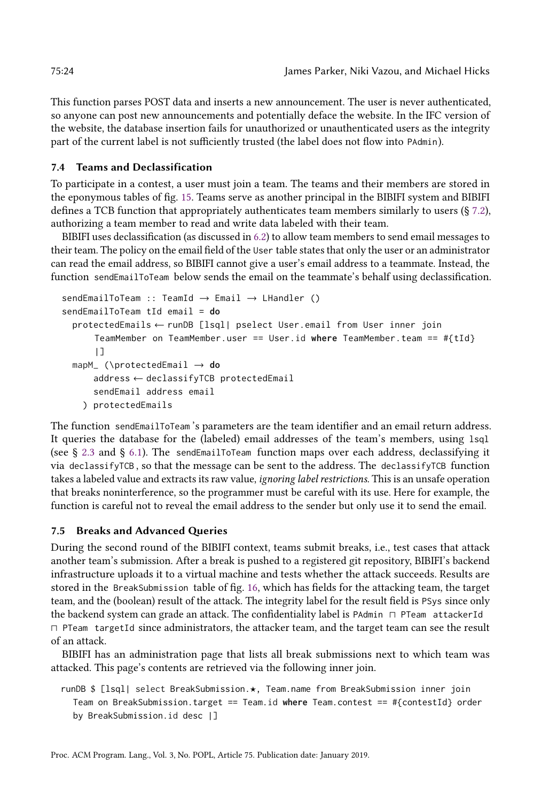This function parses POST data and inserts a new announcement. The user is never authenticated, so anyone can post new announcements and potentially deface the website. In the IFC version of the website, the database insertion fails for unauthorized or unauthenticated users as the integrity part of the current label is not sufficiently trusted (the label does not flow into PAdmin).

## <span id="page-23-0"></span>7.4 Teams and Declassification

To participate in a contest, a user must join a team. The teams and their members are stored in the eponymous tables of fig. [15.](#page-22-0) Teams serve as another principal in the BIBIFI system and BIBIFI defines a TCB function that appropriately authenticates team members similarly to users (§ [7.2\)](#page-21-1), authorizing a team member to read and write data labeled with their team.

BIBIFI uses declassification (as discussed in [6.2\)](#page-20-0) to allow team members to send email messages to their team. The policy on the email field of the User table states that only the user or an administrator can read the email address, so BIBIFI cannot give a user's email address to a teammate. Instead, the function sendEmailToTeam below sends the email on the teammate's behalf using declassification.

```
sendEmailToTeam :: TeamId → Email → LHandler ()
sendEmailToTeam tId email = do
 protectedEmails ← runDB [lsql| pselect User.email from User inner join
      TeamMember on TeamMember.user == User.id where TeamMember.team == #{tId}
      |]
 mapM_ (\protectedEmail → do
      address ← declassifyTCB protectedEmail
      sendEmail address email
   ) protectedEmails
```
The function sendEmailToTeam 's parameters are the team identifier and an email return address. It queries the database for the (labeled) email addresses of the team's members, using lsql (see § [2.3](#page-4-0) and § [6.1\)](#page-19-3). The sendEmailToTeam function maps over each address, declassifying it via declassifyTCB , so that the message can be sent to the address. The declassifyTCB function takes a labeled value and extracts its raw value, ignoring label restrictions. This is an unsafe operation that breaks noninterference, so the programmer must be careful with its use. Here for example, the function is careful not to reveal the email address to the sender but only use it to send the email.

#### 7.5 Breaks and Advanced Queries

During the second round of the BIBIFI context, teams submit breaks, i.e., test cases that attack another team's submission. After a break is pushed to a registered git repository, BIBIFI's backend infrastructure uploads it to a virtual machine and tests whether the attack succeeds. Results are stored in the BreakSubmission table of fig. [16,](#page-24-1) which has fields for the attacking team, the target team, and the (boolean) result of the attack. The integrity label for the result field is PSys since only the backend system can grade an attack. The confidentiality label is PAdmin ⊓ PTeam attackerId ⊓ PTeam targetId since administrators, the attacker team, and the target team can see the result of an attack.

BIBIFI has an administration page that lists all break submissions next to which team was attacked. This page's contents are retrieved via the following inner join.

runDB \$ [lsql| select BreakSubmission.★, Team.name from BreakSubmission inner join Team on BreakSubmission.target == Team.id **where** Team.contest == #{contestId} order by BreakSubmission.id desc |]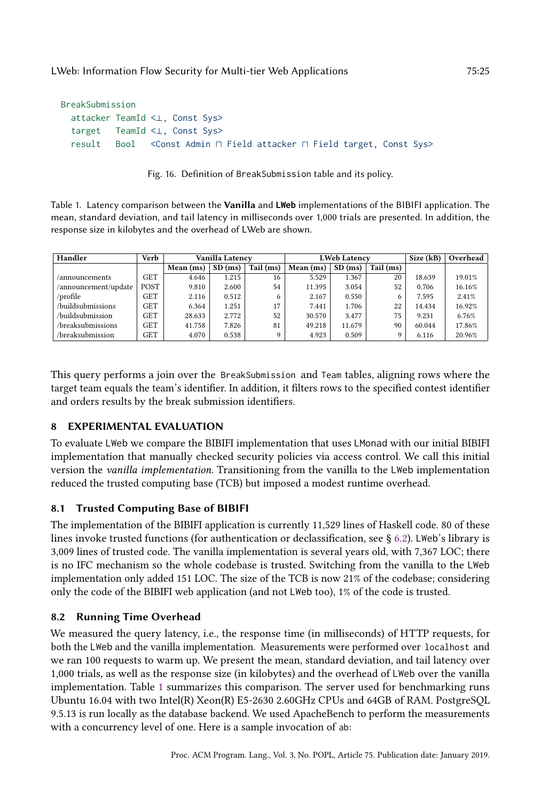```
BreakSubmission
  attacker TeamId <⊥, Const Sys>
  target TeamId <⊥, Const Sys>
  result Bool <Const Admin ⊓ Field attacker ⊓ Field target, Const Sys>
```
Fig. 16. Definition of BreakSubmission table and its policy.

<span id="page-24-2"></span>Table 1. Latency comparison between the Vanilla and **LWeb** implementations of the BIBIFI application. The mean, standard deviation, and tail latency in milliseconds over 1,000 trials are presented. In addition, the response size in kilobytes and the overhead of LWeb are shown.

| Handler              | Verb       |           | Vanilla Latencv |           |           | <b>LWeb Latency</b> | Size (kB) | Overhead |        |
|----------------------|------------|-----------|-----------------|-----------|-----------|---------------------|-----------|----------|--------|
|                      |            | Mean (ms) | $SD$ (ms)       | Tail (ms) | Mean (ms) | SD(ms)              | Tail (ms) |          |        |
| /announcements       | <b>GET</b> | 4.646     | 1.215           | 16        | 5.529     | 1.367               | 20        | 18.639   | 19.01% |
| /announcement/update | POST       | 9.810     | 2.600           | 54        | 11.395    | 3.054               | 52        | 0.706    | 16.16% |
| /profile             | <b>GET</b> | 2.116     | 0.512           |           | 2.167     | 0.550               |           | 7.595    | 2.41%  |
| /buildsubmissions    | <b>GET</b> | 6.364     | 1.251           | 17        | 7.441     | 1.706               | 22        | 14.434   | 16.92% |
| /buildsubmission     | <b>GET</b> | 28.633    | 2.772           | 52        | 30.570    | 3.477               | 75        | 9.231    | 6.76%  |
| /breaksubmissions    | <b>GET</b> | 41.758    | 7.826           | 81        | 49.218    | 11.679              | 90        | 60.044   | 17.86% |
| /breaksubmission     | <b>GET</b> | 4.070     | 0.538           |           | 4.923     | 0.509               |           | 6.116    | 20.96% |

This query performs a join over the BreakSubmission and Team tables, aligning rows where the target team equals the team's identifier. In addition, it filters rows to the specified contest identifier and orders results by the break submission identifiers.

# <span id="page-24-0"></span>8 EXPERIMENTAL EVALUATION

To evaluate LWeb we compare the BIBIFI implementation that uses LMonad with our initial BIBIFI implementation that manually checked security policies via access control. We call this initial version the vanilla implementation. Transitioning from the vanilla to the LWeb implementation reduced the trusted computing base (TCB) but imposed a modest runtime overhead.

# 8.1 Trusted Computing Base of BIBIFI

The implementation of the BIBIFI application is currently 11,529 lines of Haskell code. 80 of these lines invoke trusted functions (for authentication or declassification, see § [6.2\)](#page-20-0). LWeb's library is 3,009 lines of trusted code. The vanilla implementation is several years old, with 7,367 LOC; there is no IFC mechanism so the whole codebase is trusted. Switching from the vanilla to the LWeb implementation only added 151 LOC. The size of the TCB is now 21% of the codebase; considering only the code of the BIBIFI web application (and not LWeb too), 1% of the code is trusted.

# 8.2 Running Time Overhead

We measured the query latency, i.e., the response time (in milliseconds) of HTTP requests, for both the LWeb and the vanilla implementation. Measurements were performed over localhost and we ran 100 requests to warm up. We present the mean, standard deviation, and tail latency over 1,000 trials, as well as the response size (in kilobytes) and the overhead of LWeb over the vanilla implementation. Table [1](#page-24-2) summarizes this comparison. The server used for benchmarking runs Ubuntu 16.04 with two Intel(R) Xeon(R) E5-2630 2.60GHz CPUs and 64GB of RAM. PostgreSQL 9.5.13 is run locally as the database backend. We used ApacheBench to perform the measurements with a concurrency level of one. Here is a sample invocation of ab: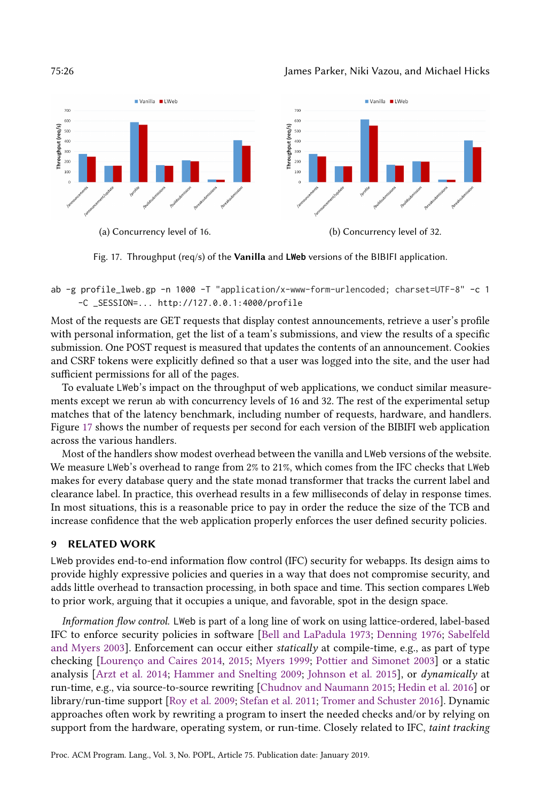#### 75:26 James Parker, Niki Vazou, and Michael Hicks

<span id="page-25-1"></span>

Fig. 17. Throughput (req/s) of the Vanilla and **LWeb** versions of the BIBIFI application.

ab -g profile\_lweb.gp -n 1000 -T "application/x-www-form-urlencoded; charset=UTF-8" -c 1 -C \_SESSION=... http://127.0.0.1:4000/profile

Most of the requests are GET requests that display contest announcements, retrieve a user's profile with personal information, get the list of a team's submissions, and view the results of a specific submission. One POST request is measured that updates the contents of an announcement. Cookies and CSRF tokens were explicitly defined so that a user was logged into the site, and the user had sufficient permissions for all of the pages.

To evaluate LWeb's impact on the throughput of web applications, we conduct similar measurements except we rerun ab with concurrency levels of 16 and 32. The rest of the experimental setup matches that of the latency benchmark, including number of requests, hardware, and handlers. Figure [17](#page-25-1) shows the number of requests per second for each version of the BIBIFI web application across the various handlers.

Most of the handlers show modest overhead between the vanilla and LWeb versions of the website. We measure LWeb's overhead to range from 2% to 21%, which comes from the IFC checks that LWeb makes for every database query and the state monad transformer that tracks the current label and clearance label. In practice, this overhead results in a few milliseconds of delay in response times. In most situations, this is a reasonable price to pay in order the reduce the size of the TCB and increase confidence that the web application properly enforces the user defined security policies.

## <span id="page-25-0"></span>9 RELATED WORK

LWeb provides end-to-end information flow control (IFC) security for webapps. Its design aims to provide highly expressive policies and queries in a way that does not compromise security, and adds little overhead to transaction processing, in both space and time. This section compares LWeb to prior work, arguing that it occupies a unique, and favorable, spot in the design space.

Information flow control. LWeb is part of a long line of work on using lattice-ordered, label-based IFC to enforce security policies in software [\[Bell and LaPadula](#page-28-19) [1973;](#page-28-19) [Denning](#page-28-10) [1976;](#page-28-10) [Sabelfeld](#page-29-1) [and Myers](#page-29-1) [2003\]](#page-29-1). Enforcement can occur either statically at compile-time, e.g., as part of type checking [\[Lourenço and Caires](#page-28-20) [2014,](#page-28-20) [2015;](#page-28-21) [Myers](#page-28-2) [1999;](#page-28-2) [Pottier and Simonet](#page-28-3) [2003\]](#page-28-3) or a static analysis [\[Arzt et al.](#page-28-4) [2014;](#page-28-4) [Hammer and Snelting](#page-28-5) [2009;](#page-28-5) [Johnson et al.](#page-28-6) [2015\]](#page-28-6), or dynamically at run-time, e.g., via source-to-source rewriting [\[Chudnov and Naumann](#page-28-9) [2015;](#page-28-9) [Hedin et al.](#page-28-22) [2016\]](#page-28-22) or library/run-time support [\[Roy et al.](#page-29-3) [2009;](#page-29-3) [Stefan et al.](#page-29-6) [2011;](#page-29-6) [Tromer and Schuster](#page-29-4) [2016\]](#page-29-4). Dynamic approaches often work by rewriting a program to insert the needed checks and/or by relying on support from the hardware, operating system, or run-time. Closely related to IFC, taint tracking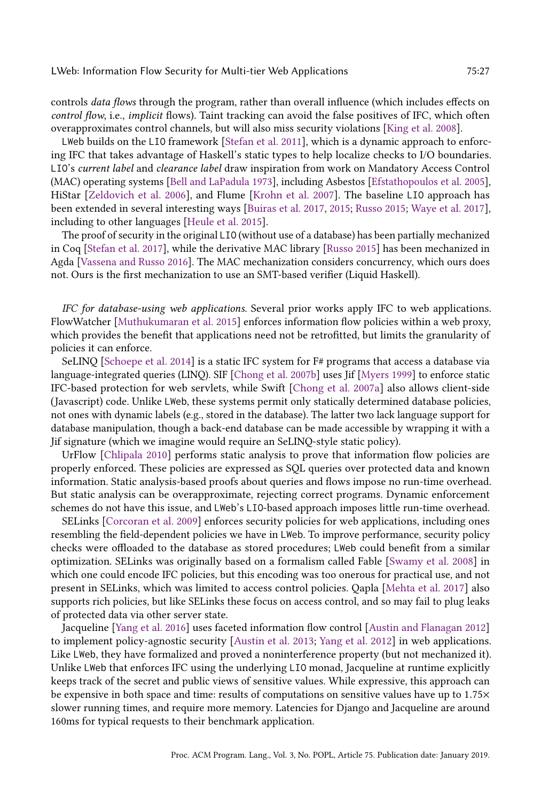controls data flows through the program, rather than overall influence (which includes effects on control flow, i.e., *implicit* flows). Taint tracking can avoid the false positives of IFC, which often overapproximates control channels, but will also miss security violations [\[King et al.](#page-28-7) [2008\]](#page-28-7).

LWeb builds on the LIO framework [\[Stefan et al.](#page-29-6) [2011\]](#page-29-6), which is a dynamic approach to enforcing IFC that takes advantage of Haskell's static types to help localize checks to I/O boundaries. LIO's current label and clearance label draw inspiration from work on Mandatory Access Control (MAC) operating systems [\[Bell and LaPadula](#page-28-19) [1973\]](#page-28-19), including Asbestos [\[Efstathopoulos et al.](#page-28-23) [2005\]](#page-28-23), HiStar [\[Zeldovich et al.](#page-29-19) [2006\]](#page-29-19), and Flume [\[Krohn et al.](#page-28-24) [2007\]](#page-28-24). The baseline LIO approach has been extended in several interesting ways [\[Buiras et al.](#page-28-25) [2017,](#page-28-25) [2015;](#page-28-26) [Russo](#page-29-20) [2015;](#page-29-20) [Waye et al.](#page-29-21) [2017\]](#page-29-21), including to other languages [\[Heule et al.](#page-28-27) [2015\]](#page-28-27).

The proof of security in the original LIO (without use of a database) has been partially mechanized in Coq [\[Stefan et al.](#page-29-17) [2017\]](#page-29-17), while the derivative MAC library [\[Russo](#page-29-20) [2015\]](#page-29-20) has been mechanized in Agda [\[Vassena and Russo](#page-29-22) [2016\]](#page-29-22). The MAC mechanization considers concurrency, which ours does not. Ours is the first mechanization to use an SMT-based verifier (Liquid Haskell).

IFC for database-using web applications. Several prior works apply IFC to web applications. FlowWatcher [\[Muthukumaran et al.](#page-28-28) [2015\]](#page-28-28) enforces information flow policies within a web proxy, which provides the benefit that applications need not be retrofitted, but limits the granularity of policies it can enforce.

SeLINQ [\[Schoepe et al.](#page-29-2) [2014\]](#page-29-2) is a static IFC system for F# programs that access a database via language-integrated queries (LINQ). SIF [\[Chong et al.](#page-28-1) [2007b\]](#page-28-1) uses Jif [\[Myers](#page-28-2) [1999\]](#page-28-2) to enforce static IFC-based protection for web servlets, while Swift [\[Chong et al.](#page-28-0) [2007a\]](#page-28-0) also allows client-side (Javascript) code. Unlike LWeb, these systems permit only statically determined database policies, not ones with dynamic labels (e.g., stored in the database). The latter two lack language support for database manipulation, though a back-end database can be made accessible by wrapping it with a Jif signature (which we imagine would require an SeLINQ-style static policy).

UrFlow [\[Chlipala](#page-28-15) [2010\]](#page-28-15) performs static analysis to prove that information flow policies are properly enforced. These policies are expressed as SQL queries over protected data and known information. Static analysis-based proofs about queries and flows impose no run-time overhead. But static analysis can be overapproximate, rejecting correct programs. Dynamic enforcement schemes do not have this issue, and LWeb's LIO-based approach imposes little run-time overhead.

SELinks [\[Corcoran et al.](#page-28-14) [2009\]](#page-28-14) enforces security policies for web applications, including ones resembling the field-dependent policies we have in LWeb. To improve performance, security policy checks were offloaded to the database as stored procedures; LWeb could benefit from a similar optimization. SELinks was originally based on a formalism called Fable [\[Swamy et al.](#page-29-23) [2008\]](#page-29-23) in which one could encode IFC policies, but this encoding was too onerous for practical use, and not present in SELinks, which was limited to access control policies. Qapla [\[Mehta et al.](#page-28-29) [2017\]](#page-28-29) also supports rich policies, but like SELinks these focus on access control, and so may fail to plug leaks of protected data via other server state.

Jacqueline [\[Yang et al.](#page-29-5) [2016\]](#page-29-5) uses faceted information flow control [\[Austin and Flanagan](#page-28-8) [2012\]](#page-28-8) to implement policy-agnostic security [\[Austin et al.](#page-28-30) [2013;](#page-28-30) [Yang et al.](#page-29-24) [2012\]](#page-29-24) in web applications. Like LWeb, they have formalized and proved a noninterference property (but not mechanized it). Unlike LWeb that enforces IFC using the underlying LIO monad, Jacqueline at runtime explicitly keeps track of the secret and public views of sensitive values. While expressive, this approach can be expensive in both space and time: results of computations on sensitive values have up to <sup>1</sup>.75<sup>×</sup> slower running times, and require more memory. Latencies for Django and Jacqueline are around 160ms for typical requests to their benchmark application.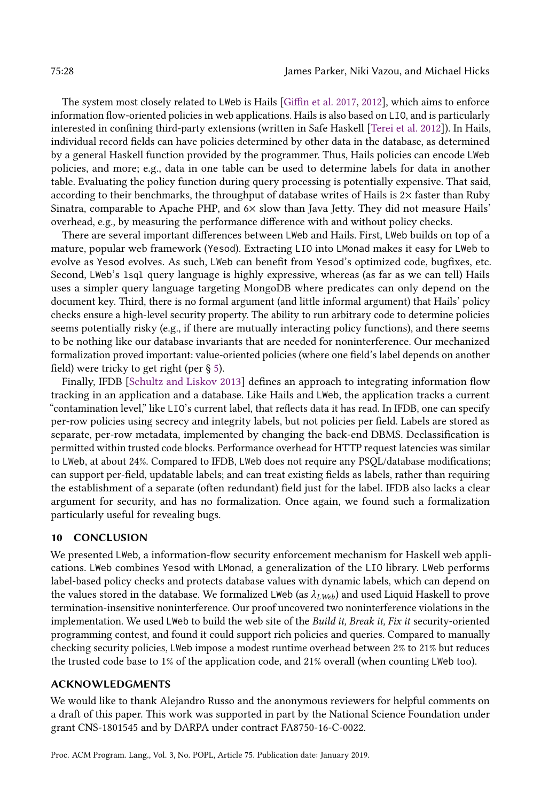The system most closely related to LWeb is Hails [\[Giffin et al.](#page-28-12) [2017,](#page-28-12) [2012\]](#page-28-13), which aims to enforce information flow-oriented policies in web applications. Hails is also based on LIO, and is particularly interested in confining third-party extensions (written in Safe Haskell [\[Terei et al.](#page-29-25) [2012\]](#page-29-25)). In Hails, individual record fields can have policies determined by other data in the database, as determined by a general Haskell function provided by the programmer. Thus, Hails policies can encode LWeb policies, and more; e.g., data in one table can be used to determine labels for data in another table. Evaluating the policy function during query processing is potentially expensive. That said, according to their benchmarks, the throughput of database writes of Hails is  $2\times$  faster than Ruby Sinatra, comparable to Apache PHP, and 6× slow than Java Jetty. They did not measure Hails' overhead, e.g., by measuring the performance difference with and without policy checks.

There are several important differences between LWeb and Hails. First, LWeb builds on top of a mature, popular web framework (Yesod). Extracting LIO into LMonad makes it easy for LWeb to evolve as Yesod evolves. As such, LWeb can benefit from Yesod's optimized code, bugfixes, etc. Second, LWeb's lsql query language is highly expressive, whereas (as far as we can tell) Hails uses a simpler query language targeting MongoDB where predicates can only depend on the document key. Third, there is no formal argument (and little informal argument) that Hails' policy checks ensure a high-level security property. The ability to run arbitrary code to determine policies seems potentially risky (e.g., if there are mutually interacting policy functions), and there seems to be nothing like our database invariants that are needed for noninterference. Our mechanized formalization proved important: value-oriented policies (where one field's label depends on another field) were tricky to get right (per § [5\)](#page-17-0).

Finally, IFDB [\[Schultz and Liskov](#page-29-11) [2013\]](#page-29-11) defines an approach to integrating information flow tracking in an application and a database. Like Hails and LWeb, the application tracks a current "contamination level," like LIO's current label, that reflects data it has read. In IFDB, one can specify per-row policies using secrecy and integrity labels, but not policies per field. Labels are stored as separate, per-row metadata, implemented by changing the back-end DBMS. Declassification is permitted within trusted code blocks. Performance overhead for HTTP request latencies was similar to LWeb, at about 24%. Compared to IFDB, LWeb does not require any PSQL/database modifications; can support per-field, updatable labels; and can treat existing fields as labels, rather than requiring the establishment of a separate (often redundant) field just for the label. IFDB also lacks a clear argument for security, and has no formalization. Once again, we found such a formalization particularly useful for revealing bugs.

## 10 CONCLUSION

We presented LWeb, a information-flow security enforcement mechanism for Haskell web applications. LWeb combines Yesod with LMonad, a generalization of the LIO library. LWeb performs label-based policy checks and protects database values with dynamic labels, which can depend on the values stored in the database. We formalized LWeb (as  $\lambda_{LWeb}$ ) and used Liquid Haskell to prove termination-insensitive noninterference. Our proof uncovered two noninterference violations in the implementation. We used LWeb to build the web site of the Build it, Break it, Fix it security-oriented programming contest, and found it could support rich policies and queries. Compared to manually checking security policies, LWeb impose a modest runtime overhead between 2% to 21% but reduces the trusted code base to 1% of the application code, and 21% overall (when counting LWeb too).

#### ACKNOWLEDGMENTS

We would like to thank Alejandro Russo and the anonymous reviewers for helpful comments on a draft of this paper. This work was supported in part by the National Science Foundation under grant CNS-1801545 and by DARPA under contract FA8750-16-C-0022.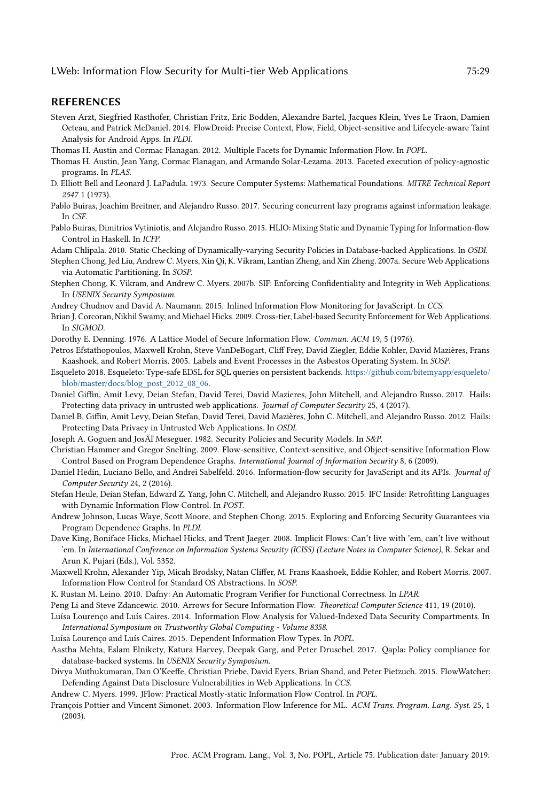#### REFERENCES

- <span id="page-28-4"></span>Steven Arzt, Siegfried Rasthofer, Christian Fritz, Eric Bodden, Alexandre Bartel, Jacques Klein, Yves Le Traon, Damien Octeau, and Patrick McDaniel. 2014. FlowDroid: Precise Context, Flow, Field, Object-sensitive and Lifecycle-aware Taint Analysis for Android Apps. In PLDI.
- <span id="page-28-8"></span>Thomas H. Austin and Cormac Flanagan. 2012. Multiple Facets for Dynamic Information Flow. In POPL.
- <span id="page-28-30"></span>Thomas H. Austin, Jean Yang, Cormac Flanagan, and Armando Solar-Lezama. 2013. Faceted execution of policy-agnostic programs. In PLAS.
- <span id="page-28-19"></span>D. Elliott Bell and Leonard J. LaPadula. 1973. Secure Computer Systems: Mathematical Foundations. MITRE Technical Report 2547 1 (1973).
- <span id="page-28-25"></span>Pablo Buiras, Joachim Breitner, and Alejandro Russo. 2017. Securing concurrent lazy programs against information leakage. In CSF.
- <span id="page-28-26"></span>Pablo Buiras, Dimitrios Vytiniotis, and Alejandro Russo. 2015. HLIO: Mixing Static and Dynamic Typing for Information-flow Control in Haskell. In ICFP.
- <span id="page-28-15"></span>Adam Chlipala. 2010. Static Checking of Dynamically-varying Security Policies in Database-backed Applications. In OSDI.
- <span id="page-28-0"></span>Stephen Chong, Jed Liu, Andrew C. Myers, Xin Qi, K. Vikram, Lantian Zheng, and Xin Zheng. 2007a. Secure Web Applications via Automatic Partitioning. In SOSP.
- <span id="page-28-1"></span>Stephen Chong, K. Vikram, and Andrew C. Myers. 2007b. SIF: Enforcing Confidentiality and Integrity in Web Applications. In USENIX Security Symposium.
- <span id="page-28-9"></span>Andrey Chudnov and David A. Naumann. 2015. Inlined Information Flow Monitoring for JavaScript. In CCS.
- <span id="page-28-14"></span>Brian J. Corcoran, Nikhil Swamy, and Michael Hicks. 2009. Cross-tier, Label-based Security Enforcement for Web Applications. In SIGMOD.
- <span id="page-28-10"></span>Dorothy E. Denning. 1976. A Lattice Model of Secure Information Flow. Commun. ACM 19, 5 (1976).
- <span id="page-28-23"></span>Petros Efstathopoulos, Maxwell Krohn, Steve VanDeBogart, Cliff Frey, David Ziegler, Eddie Kohler, David Mazières, Frans Kaashoek, and Robert Morris. 2005. Labels and Event Processes in the Asbestos Operating System. In SOSP.
- <span id="page-28-11"></span>Esqueleto 2018. Esqueleto: Type-safe EDSL for SQL queries on persistent backends. [https://github.com/bitemyapp/esqueleto/](https://github.com/bitemyapp/esqueleto/blob/master/docs/blog_post_2012_08_06) [blob/master/docs/blog\\_post\\_2012\\_08\\_06.](https://github.com/bitemyapp/esqueleto/blob/master/docs/blog_post_2012_08_06)
- <span id="page-28-12"></span>Daniel Giffin, Amit Levy, Deian Stefan, David Terei, David Mazieres, John Mitchell, and Alejandro Russo. 2017. Hails: Protecting data privacy in untrusted web applications. Journal of Computer Security 25, 4 (2017).
- <span id="page-28-13"></span>Daniel B. Giffin, Amit Levy, Deian Stefan, David Terei, David Mazières, John C. Mitchell, and Alejandro Russo. 2012. Hails: Protecting Data Privacy in Untrusted Web Applications. In OSDI.
- <span id="page-28-16"></span>Joseph A. Goguen and JosÃľ Meseguer. 1982. Security Policies and Security Models. In S&P.
- <span id="page-28-5"></span>Christian Hammer and Gregor Snelting. 2009. Flow-sensitive, Context-sensitive, and Object-sensitive Information Flow Control Based on Program Dependence Graphs. International Journal of Information Security 8, 6 (2009).
- <span id="page-28-22"></span>Daniel Hedin, Luciano Bello, and Andrei Sabelfeld. 2016. Information-flow security for JavaScript and its APIs. Journal of Computer Security 24, 2 (2016).
- <span id="page-28-27"></span>Stefan Heule, Deian Stefan, Edward Z. Yang, John C. Mitchell, and Alejandro Russo. 2015. IFC Inside: Retrofitting Languages with Dynamic Information Flow Control. In POST.
- <span id="page-28-6"></span>Andrew Johnson, Lucas Waye, Scott Moore, and Stephen Chong. 2015. Exploring and Enforcing Security Guarantees via Program Dependence Graphs. In PLDI.
- <span id="page-28-7"></span>Dave King, Boniface Hicks, Michael Hicks, and Trent Jaeger. 2008. Implicit Flows: Can't live with 'em, can't live without 'em. In International Conference on Information Systems Security (ICISS) (Lecture Notes in Computer Science), R. Sekar and Arun K. Pujari (Eds.), Vol. 5352.
- <span id="page-28-24"></span>Maxwell Krohn, Alexander Yip, Micah Brodsky, Natan Cliffer, M. Frans Kaashoek, Eddie Kohler, and Robert Morris. 2007. Information Flow Control for Standard OS Abstractions. In SOSP.
- <span id="page-28-18"></span>K. Rustan M. Leino. 2010. Dafny: An Automatic Program Verifier for Functional Correctness. In LPAR.
- <span id="page-28-17"></span>Peng Li and Steve Zdancewic. 2010. Arrows for Secure Information Flow. Theoretical Computer Science 411, 19 (2010).
- <span id="page-28-20"></span>Luísa Lourenço and Luís Caires. 2014. Information Flow Analysis for Valued-Indexed Data Security Compartments. In International Symposium on Trustworthy Global Computing - Volume 8358.
- <span id="page-28-21"></span>Luísa Lourenço and Luís Caires. 2015. Dependent Information Flow Types. In POPL.
- <span id="page-28-29"></span>Aastha Mehta, Eslam Elnikety, Katura Harvey, Deepak Garg, and Peter Druschel. 2017. Qapla: Policy compliance for database-backed systems. In USENIX Security Symposium.
- <span id="page-28-28"></span>Divya Muthukumaran, Dan O'Keeffe, Christian Priebe, David Eyers, Brian Shand, and Peter Pietzuch. 2015. FlowWatcher: Defending Against Data Disclosure Vulnerabilities in Web Applications. In CCS.
- <span id="page-28-2"></span>Andrew C. Myers. 1999. JFlow: Practical Mostly-static Information Flow Control. In POPL.
- <span id="page-28-3"></span>François Pottier and Vincent Simonet. 2003. Information Flow Inference for ML. ACM Trans. Program. Lang. Syst. 25, 1 (2003).